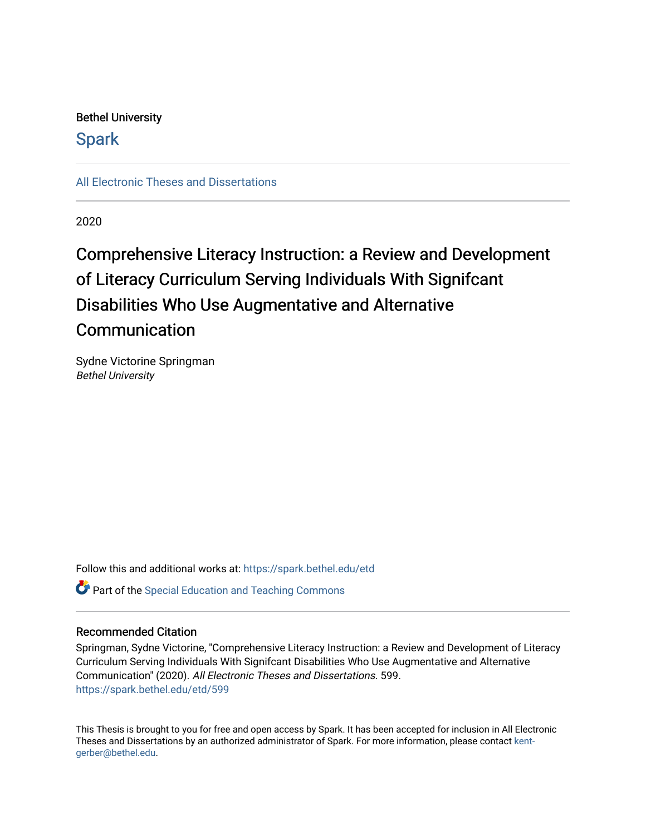## Bethel University

## **Spark**

[All Electronic Theses and Dissertations](https://spark.bethel.edu/etd) 

2020

## Comprehensive Literacy Instruction: a Review and Development of Literacy Curriculum Serving Individuals With Signifcant Disabilities Who Use Augmentative and Alternative **Communication**

Sydne Victorine Springman Bethel University

Follow this and additional works at: [https://spark.bethel.edu/etd](https://spark.bethel.edu/etd?utm_source=spark.bethel.edu%2Fetd%2F599&utm_medium=PDF&utm_campaign=PDFCoverPages) Part of the [Special Education and Teaching Commons](http://network.bepress.com/hgg/discipline/801?utm_source=spark.bethel.edu%2Fetd%2F599&utm_medium=PDF&utm_campaign=PDFCoverPages) 

## Recommended Citation

Springman, Sydne Victorine, "Comprehensive Literacy Instruction: a Review and Development of Literacy Curriculum Serving Individuals With Signifcant Disabilities Who Use Augmentative and Alternative Communication" (2020). All Electronic Theses and Dissertations. 599. [https://spark.bethel.edu/etd/599](https://spark.bethel.edu/etd/599?utm_source=spark.bethel.edu%2Fetd%2F599&utm_medium=PDF&utm_campaign=PDFCoverPages)

This Thesis is brought to you for free and open access by Spark. It has been accepted for inclusion in All Electronic Theses and Dissertations by an authorized administrator of Spark. For more information, please contact [kent](mailto:kent-gerber@bethel.edu)[gerber@bethel.edu.](mailto:kent-gerber@bethel.edu)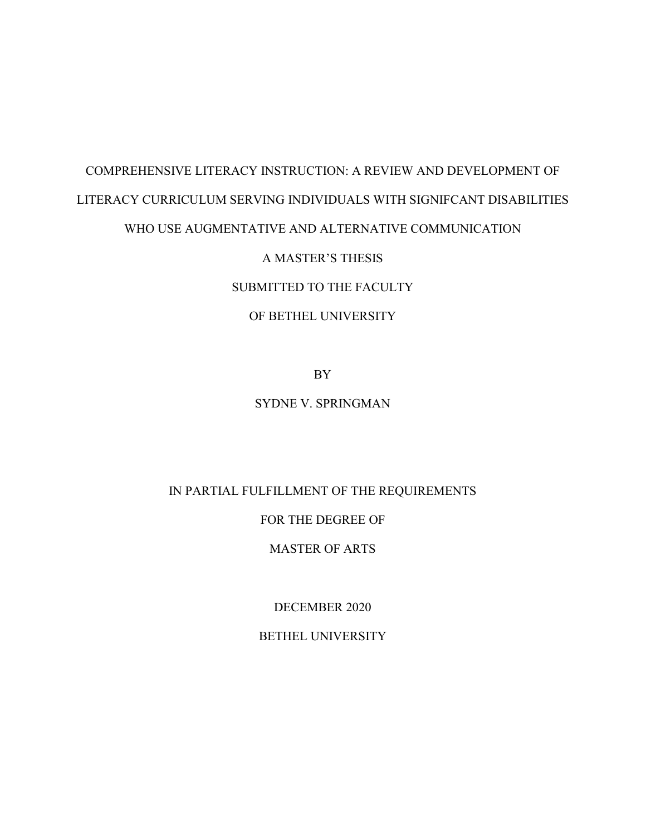# COMPREHENSIVE LITERACY INSTRUCTION: A REVIEW AND DEVELOPMENT OF LITERACY CURRICULUM SERVING INDIVIDUALS WITH SIGNIFCANT DISABILITIES

## WHO USE AUGMENTATIVE AND ALTERNATIVE COMMUNICATION

## A MASTER'S THESIS

## SUBMITTED TO THE FACULTY

## OF BETHEL UNIVERSITY

BY

## SYDNE V. SPRINGMAN

## IN PARTIAL FULFILLMENT OF THE REQUIREMENTS

## FOR THE DEGREE OF

## MASTER OF ARTS

DECEMBER 2020

## BETHEL UNIVERSITY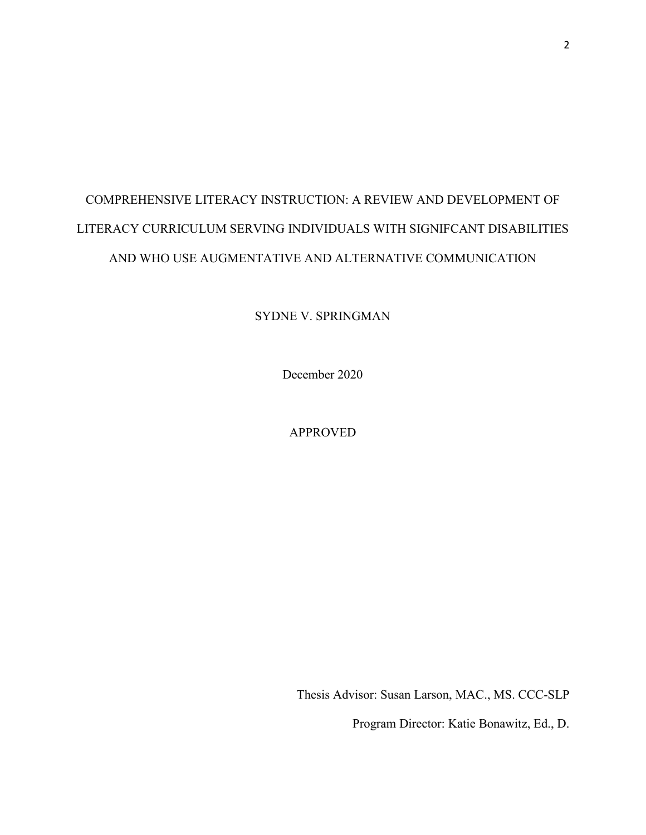## COMPREHENSIVE LITERACY INSTRUCTION: A REVIEW AND DEVELOPMENT OF LITERACY CURRICULUM SERVING INDIVIDUALS WITH SIGNIFCANT DISABILITIES AND WHO USE AUGMENTATIVE AND ALTERNATIVE COMMUNICATION

SYDNE V. SPRINGMAN

December 2020

APPROVED

Thesis Advisor: Susan Larson, MAC., MS. CCC-SLP

Program Director: Katie Bonawitz, Ed., D.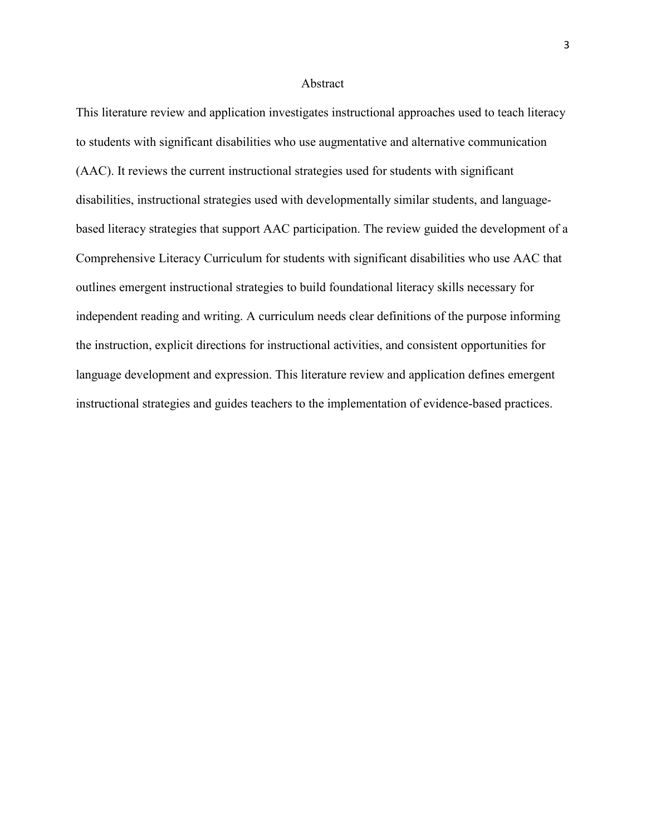#### Abstract

This literature review and application investigates instructional approaches used to teach literacy to students with significant disabilities who use augmentative and alternative communication (AAC). It reviews the current instructional strategies used for students with significant disabilities, instructional strategies used with developmentally similar students, and languagebased literacy strategies that support AAC participation. The review guided the development of a Comprehensive Literacy Curriculum for students with significant disabilities who use AAC that outlines emergent instructional strategies to build foundational literacy skills necessary for independent reading and writing. A curriculum needs clear definitions of the purpose informing the instruction, explicit directions for instructional activities, and consistent opportunities for language development and expression. This literature review and application defines emergent instructional strategies and guides teachers to the implementation of evidence-based practices.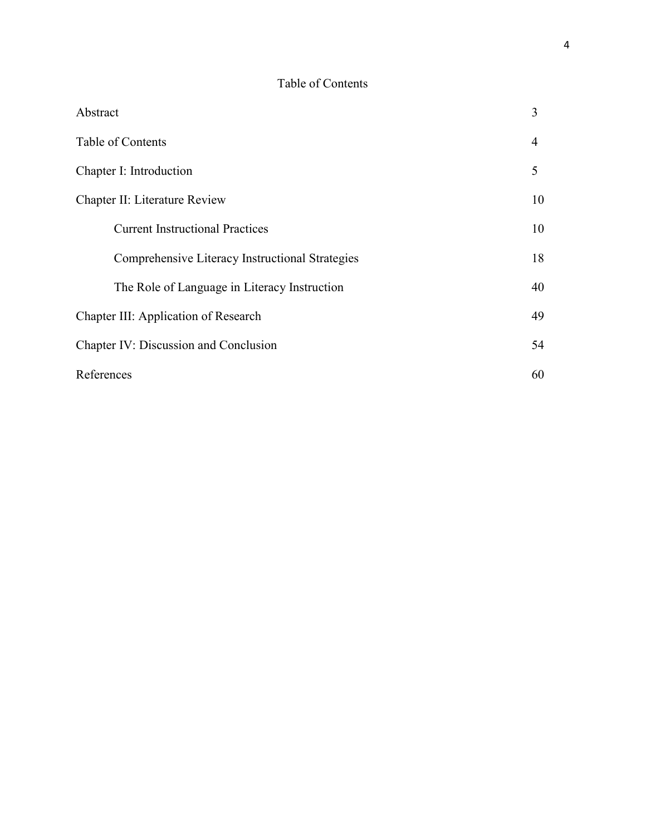## Table of Contents

| Abstract                                        | 3  |
|-------------------------------------------------|----|
| Table of Contents                               | 4  |
| Chapter I: Introduction                         | 5  |
| Chapter II: Literature Review                   | 10 |
| <b>Current Instructional Practices</b>          | 10 |
| Comprehensive Literacy Instructional Strategies | 18 |
| The Role of Language in Literacy Instruction    | 40 |
| Chapter III: Application of Research            | 49 |
| Chapter IV: Discussion and Conclusion           | 54 |
| References                                      | 60 |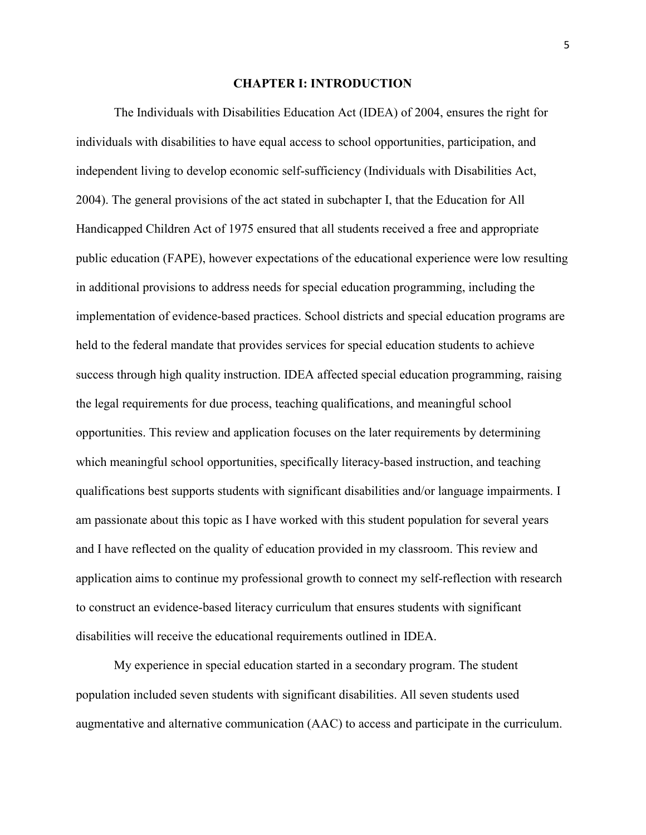#### **CHAPTER I: INTRODUCTION**

The Individuals with Disabilities Education Act (IDEA) of 2004, ensures the right for individuals with disabilities to have equal access to school opportunities, participation, and independent living to develop economic self-sufficiency (Individuals with Disabilities Act, 2004). The general provisions of the act stated in subchapter I, that the Education for All Handicapped Children Act of 1975 ensured that all students received a free and appropriate public education (FAPE), however expectations of the educational experience were low resulting in additional provisions to address needs for special education programming, including the implementation of evidence-based practices. School districts and special education programs are held to the federal mandate that provides services for special education students to achieve success through high quality instruction. IDEA affected special education programming, raising the legal requirements for due process, teaching qualifications, and meaningful school opportunities. This review and application focuses on the later requirements by determining which meaningful school opportunities, specifically literacy-based instruction, and teaching qualifications best supports students with significant disabilities and/or language impairments. I am passionate about this topic as I have worked with this student population for several years and I have reflected on the quality of education provided in my classroom. This review and application aims to continue my professional growth to connect my self-reflection with research to construct an evidence-based literacy curriculum that ensures students with significant disabilities will receive the educational requirements outlined in IDEA.

My experience in special education started in a secondary program. The student population included seven students with significant disabilities. All seven students used augmentative and alternative communication (AAC) to access and participate in the curriculum.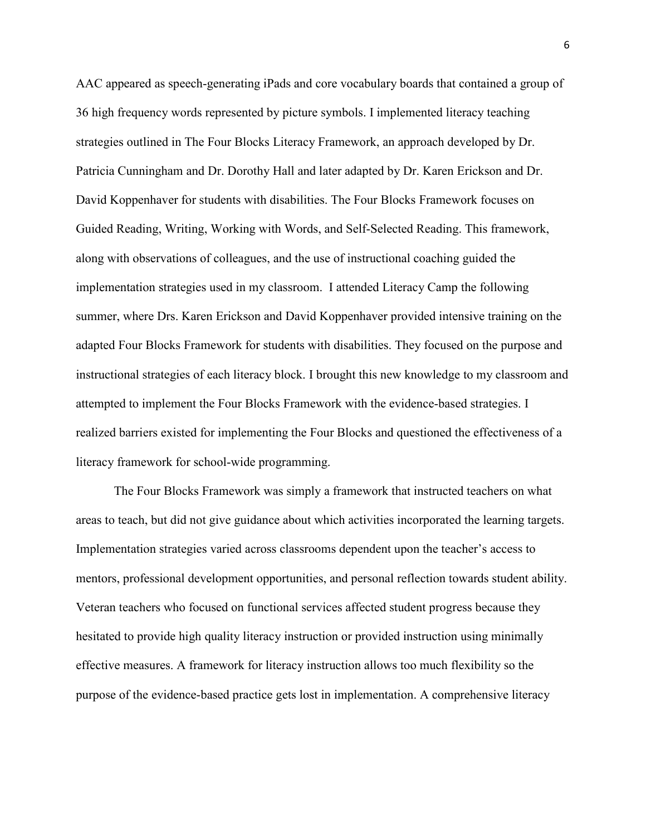AAC appeared as speech-generating iPads and core vocabulary boards that contained a group of 36 high frequency words represented by picture symbols. I implemented literacy teaching strategies outlined in The Four Blocks Literacy Framework, an approach developed by Dr. Patricia Cunningham and Dr. Dorothy Hall and later adapted by Dr. Karen Erickson and Dr. David Koppenhaver for students with disabilities. The Four Blocks Framework focuses on Guided Reading, Writing, Working with Words, and Self-Selected Reading. This framework, along with observations of colleagues, and the use of instructional coaching guided the implementation strategies used in my classroom. I attended Literacy Camp the following summer, where Drs. Karen Erickson and David Koppenhaver provided intensive training on the adapted Four Blocks Framework for students with disabilities. They focused on the purpose and instructional strategies of each literacy block. I brought this new knowledge to my classroom and attempted to implement the Four Blocks Framework with the evidence-based strategies. I realized barriers existed for implementing the Four Blocks and questioned the effectiveness of a literacy framework for school-wide programming.

The Four Blocks Framework was simply a framework that instructed teachers on what areas to teach, but did not give guidance about which activities incorporated the learning targets. Implementation strategies varied across classrooms dependent upon the teacher's access to mentors, professional development opportunities, and personal reflection towards student ability. Veteran teachers who focused on functional services affected student progress because they hesitated to provide high quality literacy instruction or provided instruction using minimally effective measures. A framework for literacy instruction allows too much flexibility so the purpose of the evidence-based practice gets lost in implementation. A comprehensive literacy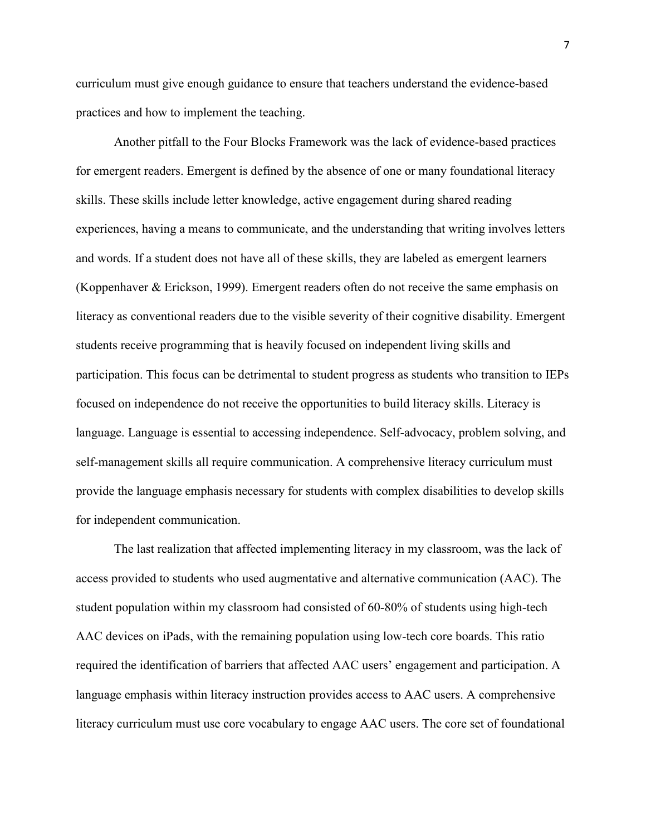curriculum must give enough guidance to ensure that teachers understand the evidence-based practices and how to implement the teaching.

Another pitfall to the Four Blocks Framework was the lack of evidence-based practices for emergent readers. Emergent is defined by the absence of one or many foundational literacy skills. These skills include letter knowledge, active engagement during shared reading experiences, having a means to communicate, and the understanding that writing involves letters and words. If a student does not have all of these skills, they are labeled as emergent learners (Koppenhaver & Erickson, 1999). Emergent readers often do not receive the same emphasis on literacy as conventional readers due to the visible severity of their cognitive disability. Emergent students receive programming that is heavily focused on independent living skills and participation. This focus can be detrimental to student progress as students who transition to IEPs focused on independence do not receive the opportunities to build literacy skills. Literacy is language. Language is essential to accessing independence. Self-advocacy, problem solving, and self-management skills all require communication. A comprehensive literacy curriculum must provide the language emphasis necessary for students with complex disabilities to develop skills for independent communication.

The last realization that affected implementing literacy in my classroom, was the lack of access provided to students who used augmentative and alternative communication (AAC). The student population within my classroom had consisted of 60-80% of students using high-tech AAC devices on iPads, with the remaining population using low-tech core boards. This ratio required the identification of barriers that affected AAC users' engagement and participation. A language emphasis within literacy instruction provides access to AAC users. A comprehensive literacy curriculum must use core vocabulary to engage AAC users. The core set of foundational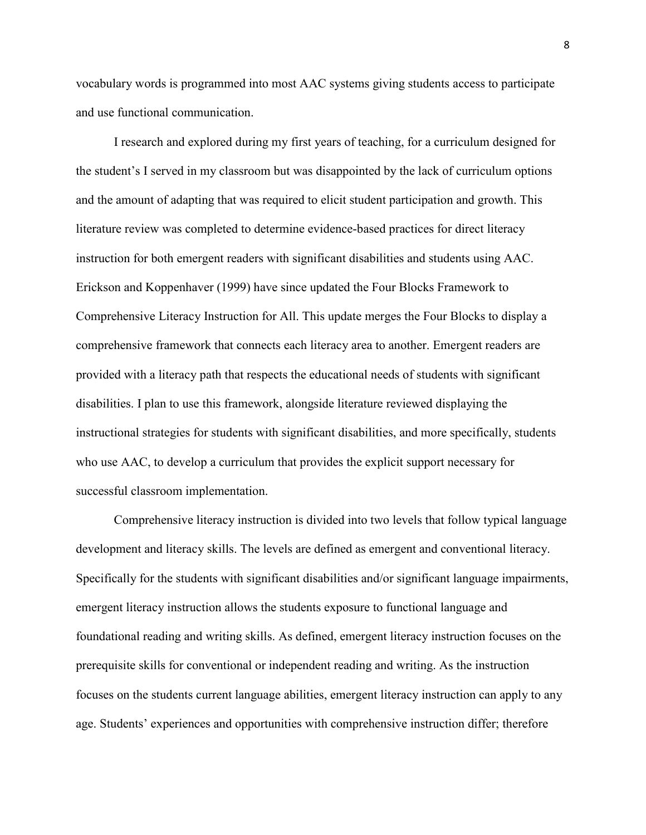vocabulary words is programmed into most AAC systems giving students access to participate and use functional communication.

I research and explored during my first years of teaching, for a curriculum designed for the student's I served in my classroom but was disappointed by the lack of curriculum options and the amount of adapting that was required to elicit student participation and growth. This literature review was completed to determine evidence-based practices for direct literacy instruction for both emergent readers with significant disabilities and students using AAC. Erickson and Koppenhaver (1999) have since updated the Four Blocks Framework to Comprehensive Literacy Instruction for All. This update merges the Four Blocks to display a comprehensive framework that connects each literacy area to another. Emergent readers are provided with a literacy path that respects the educational needs of students with significant disabilities. I plan to use this framework, alongside literature reviewed displaying the instructional strategies for students with significant disabilities, and more specifically, students who use AAC, to develop a curriculum that provides the explicit support necessary for successful classroom implementation.

Comprehensive literacy instruction is divided into two levels that follow typical language development and literacy skills. The levels are defined as emergent and conventional literacy. Specifically for the students with significant disabilities and/or significant language impairments, emergent literacy instruction allows the students exposure to functional language and foundational reading and writing skills. As defined, emergent literacy instruction focuses on the prerequisite skills for conventional or independent reading and writing. As the instruction focuses on the students current language abilities, emergent literacy instruction can apply to any age. Students' experiences and opportunities with comprehensive instruction differ; therefore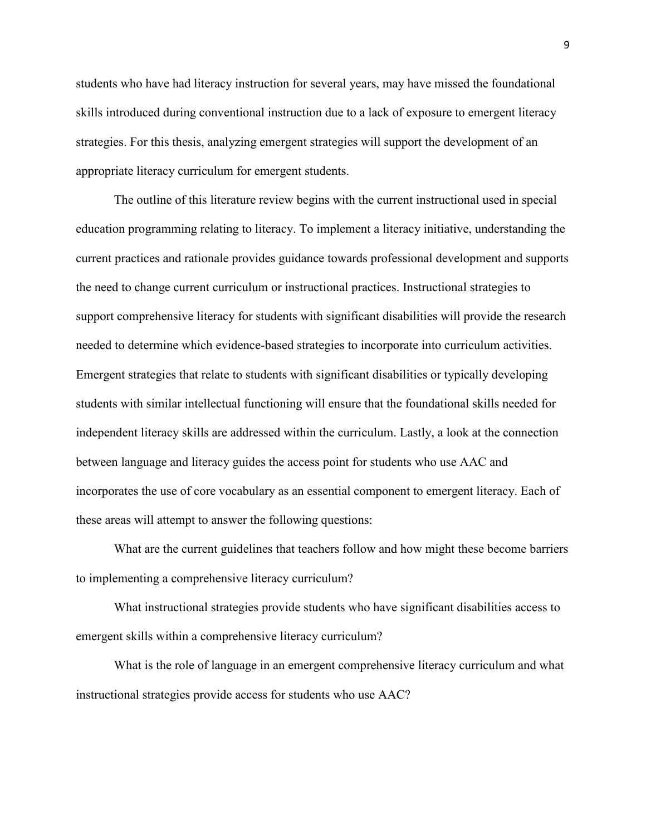students who have had literacy instruction for several years, may have missed the foundational skills introduced during conventional instruction due to a lack of exposure to emergent literacy strategies. For this thesis, analyzing emergent strategies will support the development of an appropriate literacy curriculum for emergent students.

The outline of this literature review begins with the current instructional used in special education programming relating to literacy. To implement a literacy initiative, understanding the current practices and rationale provides guidance towards professional development and supports the need to change current curriculum or instructional practices. Instructional strategies to support comprehensive literacy for students with significant disabilities will provide the research needed to determine which evidence-based strategies to incorporate into curriculum activities. Emergent strategies that relate to students with significant disabilities or typically developing students with similar intellectual functioning will ensure that the foundational skills needed for independent literacy skills are addressed within the curriculum. Lastly, a look at the connection between language and literacy guides the access point for students who use AAC and incorporates the use of core vocabulary as an essential component to emergent literacy. Each of these areas will attempt to answer the following questions:

What are the current guidelines that teachers follow and how might these become barriers to implementing a comprehensive literacy curriculum?

What instructional strategies provide students who have significant disabilities access to emergent skills within a comprehensive literacy curriculum?

What is the role of language in an emergent comprehensive literacy curriculum and what instructional strategies provide access for students who use AAC?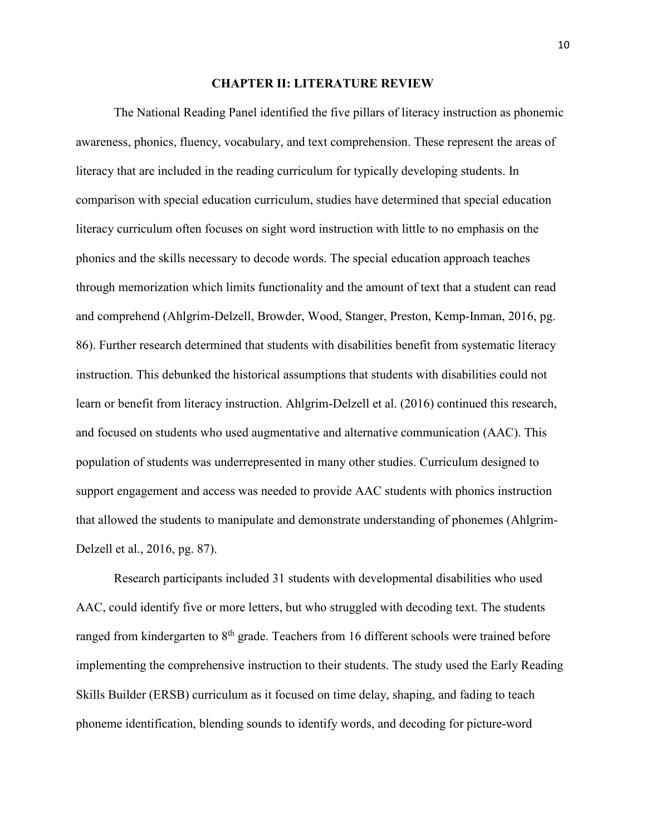#### **CHAPTER II: LITERATURE REVIEW**

The National Reading Panel identified the five pillars of literacy instruction as phonemic awareness, phonics, fluency, vocabulary, and text comprehension. These represent the areas of literacy that are included in the reading curriculum for typically developing students. In comparison with special education curriculum, studies have determined that special education literacy curriculum often focuses on sight word instruction with little to no emphasis on the phonics and the skills necessary to decode words. The special education approach teaches through memorization which limits functionality and the amount of text that a student can read and comprehend (Ahlgrim-Delzell, Browder, Wood, Stanger, Preston, Kemp-Inman, 2016, pg. 86). Further research determined that students with disabilities benefit from systematic literacy instruction. This debunked the historical assumptions that students with disabilities could not learn or benefit from literacy instruction. Ahlgrim-Delzell et al. (2016) continued this research, and focused on students who used augmentative and alternative communication (AAC). This population of students was underrepresented in many other studies. Curriculum designed to support engagement and access was needed to provide AAC students with phonics instruction that allowed the students to manipulate and demonstrate understanding of phonemes (Ahlgrim-Delzell et al., 2016, pg. 87).

 Research participants included 31 students with developmental disabilities who used AAC, could identify five or more letters, but who struggled with decoding text. The students ranged from kindergarten to 8<sup>th</sup> grade. Teachers from 16 different schools were trained before implementing the comprehensive instruction to their students. The study used the Early Reading Skills Builder (ERSB) curriculum as it focused on time delay, shaping, and fading to teach phoneme identification, blending sounds to identify words, and decoding for picture-word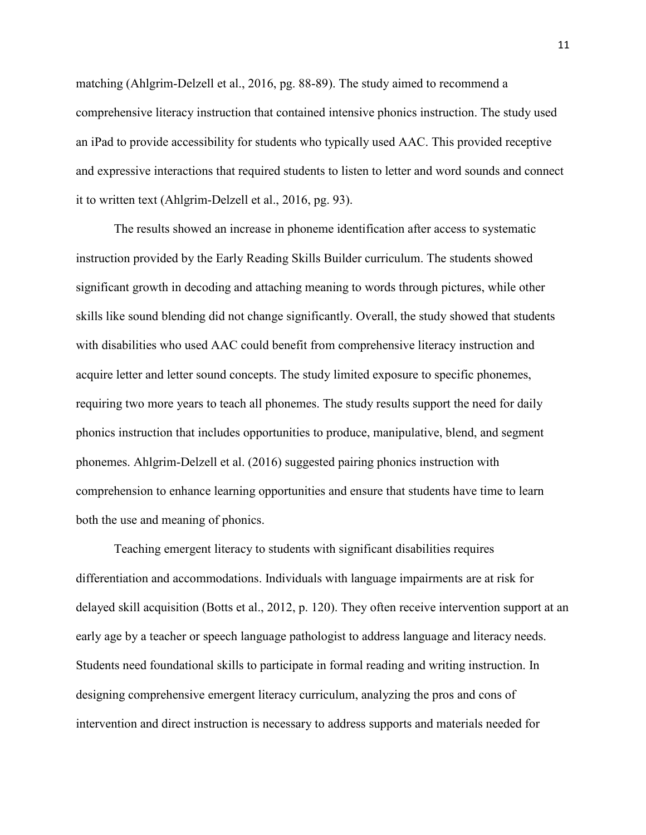matching (Ahlgrim-Delzell et al., 2016, pg. 88-89). The study aimed to recommend a comprehensive literacy instruction that contained intensive phonics instruction. The study used an iPad to provide accessibility for students who typically used AAC. This provided receptive and expressive interactions that required students to listen to letter and word sounds and connect it to written text (Ahlgrim-Delzell et al., 2016, pg. 93).

The results showed an increase in phoneme identification after access to systematic instruction provided by the Early Reading Skills Builder curriculum. The students showed significant growth in decoding and attaching meaning to words through pictures, while other skills like sound blending did not change significantly. Overall, the study showed that students with disabilities who used AAC could benefit from comprehensive literacy instruction and acquire letter and letter sound concepts. The study limited exposure to specific phonemes, requiring two more years to teach all phonemes. The study results support the need for daily phonics instruction that includes opportunities to produce, manipulative, blend, and segment phonemes. Ahlgrim-Delzell et al. (2016) suggested pairing phonics instruction with comprehension to enhance learning opportunities and ensure that students have time to learn both the use and meaning of phonics.

Teaching emergent literacy to students with significant disabilities requires differentiation and accommodations. Individuals with language impairments are at risk for delayed skill acquisition (Botts et al., 2012, p. 120). They often receive intervention support at an early age by a teacher or speech language pathologist to address language and literacy needs. Students need foundational skills to participate in formal reading and writing instruction. In designing comprehensive emergent literacy curriculum, analyzing the pros and cons of intervention and direct instruction is necessary to address supports and materials needed for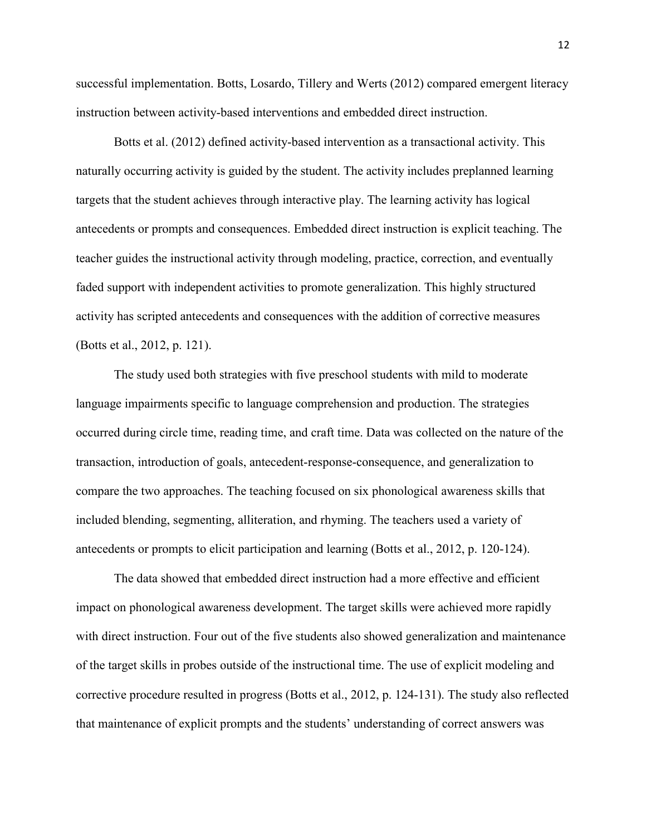successful implementation. Botts, Losardo, Tillery and Werts (2012) compared emergent literacy instruction between activity-based interventions and embedded direct instruction.

Botts et al. (2012) defined activity-based intervention as a transactional activity. This naturally occurring activity is guided by the student. The activity includes preplanned learning targets that the student achieves through interactive play. The learning activity has logical antecedents or prompts and consequences. Embedded direct instruction is explicit teaching. The teacher guides the instructional activity through modeling, practice, correction, and eventually faded support with independent activities to promote generalization. This highly structured activity has scripted antecedents and consequences with the addition of corrective measures (Botts et al., 2012, p. 121).

The study used both strategies with five preschool students with mild to moderate language impairments specific to language comprehension and production. The strategies occurred during circle time, reading time, and craft time. Data was collected on the nature of the transaction, introduction of goals, antecedent-response-consequence, and generalization to compare the two approaches. The teaching focused on six phonological awareness skills that included blending, segmenting, alliteration, and rhyming. The teachers used a variety of antecedents or prompts to elicit participation and learning (Botts et al., 2012, p. 120-124).

The data showed that embedded direct instruction had a more effective and efficient impact on phonological awareness development. The target skills were achieved more rapidly with direct instruction. Four out of the five students also showed generalization and maintenance of the target skills in probes outside of the instructional time. The use of explicit modeling and corrective procedure resulted in progress (Botts et al., 2012, p. 124-131). The study also reflected that maintenance of explicit prompts and the students' understanding of correct answers was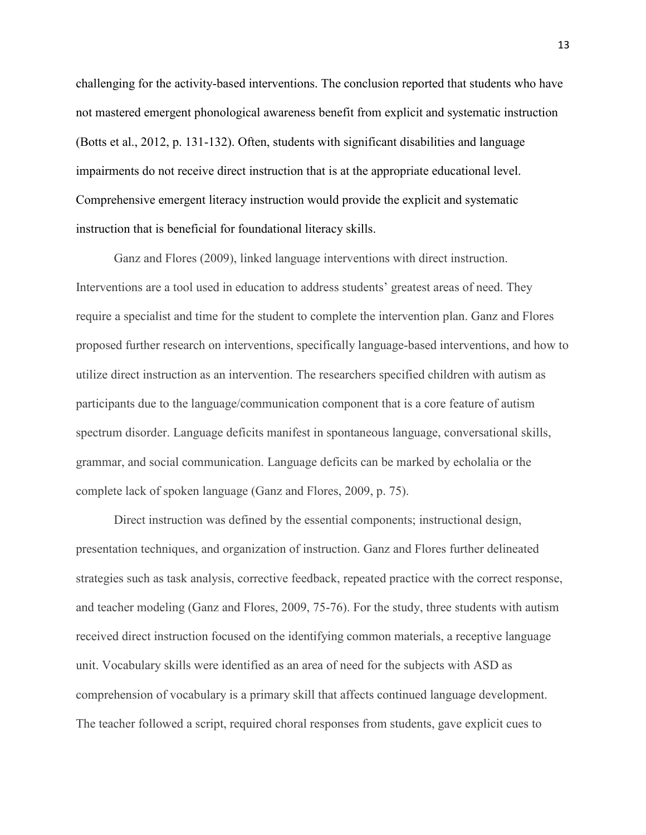challenging for the activity-based interventions. The conclusion reported that students who have not mastered emergent phonological awareness benefit from explicit and systematic instruction (Botts et al., 2012, p. 131-132). Often, students with significant disabilities and language impairments do not receive direct instruction that is at the appropriate educational level. Comprehensive emergent literacy instruction would provide the explicit and systematic instruction that is beneficial for foundational literacy skills.

Ganz and Flores (2009), linked language interventions with direct instruction. Interventions are a tool used in education to address students' greatest areas of need. They require a specialist and time for the student to complete the intervention plan. Ganz and Flores proposed further research on interventions, specifically language-based interventions, and how to utilize direct instruction as an intervention. The researchers specified children with autism as participants due to the language/communication component that is a core feature of autism spectrum disorder. Language deficits manifest in spontaneous language, conversational skills, grammar, and social communication. Language deficits can be marked by echolalia or the complete lack of spoken language (Ganz and Flores, 2009, p. 75).

 Direct instruction was defined by the essential components; instructional design, presentation techniques, and organization of instruction. Ganz and Flores further delineated strategies such as task analysis, corrective feedback, repeated practice with the correct response, and teacher modeling (Ganz and Flores, 2009, 75-76). For the study, three students with autism received direct instruction focused on the identifying common materials, a receptive language unit. Vocabulary skills were identified as an area of need for the subjects with ASD as comprehension of vocabulary is a primary skill that affects continued language development. The teacher followed a script, required choral responses from students, gave explicit cues to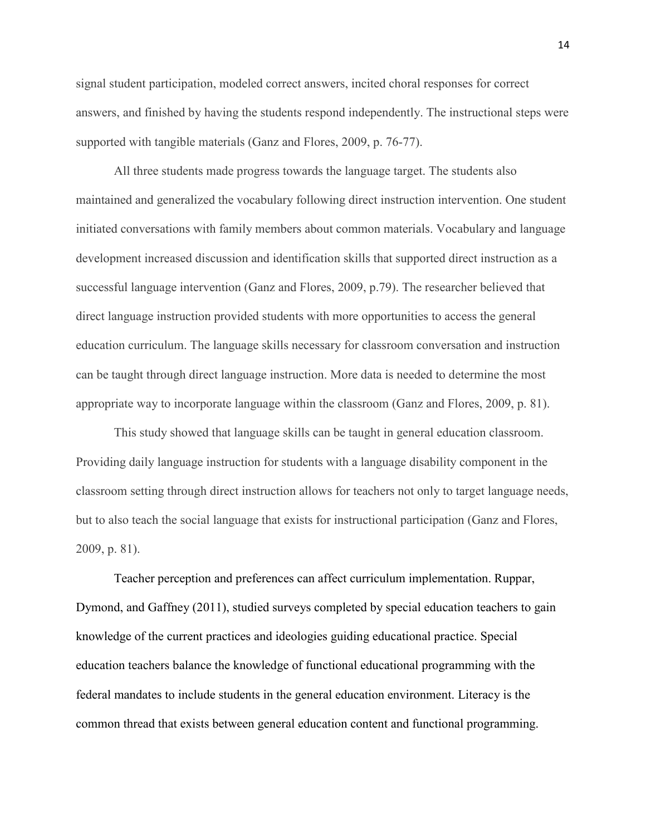signal student participation, modeled correct answers, incited choral responses for correct answers, and finished by having the students respond independently. The instructional steps were supported with tangible materials (Ganz and Flores, 2009, p. 76-77).

 All three students made progress towards the language target. The students also maintained and generalized the vocabulary following direct instruction intervention. One student initiated conversations with family members about common materials. Vocabulary and language development increased discussion and identification skills that supported direct instruction as a successful language intervention (Ganz and Flores, 2009, p.79). The researcher believed that direct language instruction provided students with more opportunities to access the general education curriculum. The language skills necessary for classroom conversation and instruction can be taught through direct language instruction. More data is needed to determine the most appropriate way to incorporate language within the classroom (Ganz and Flores, 2009, p. 81).

 This study showed that language skills can be taught in general education classroom. Providing daily language instruction for students with a language disability component in the classroom setting through direct instruction allows for teachers not only to target language needs, but to also teach the social language that exists for instructional participation (Ganz and Flores, 2009, p. 81).

Teacher perception and preferences can affect curriculum implementation. Ruppar, Dymond, and Gaffney (2011), studied surveys completed by special education teachers to gain knowledge of the current practices and ideologies guiding educational practice. Special education teachers balance the knowledge of functional educational programming with the federal mandates to include students in the general education environment. Literacy is the common thread that exists between general education content and functional programming.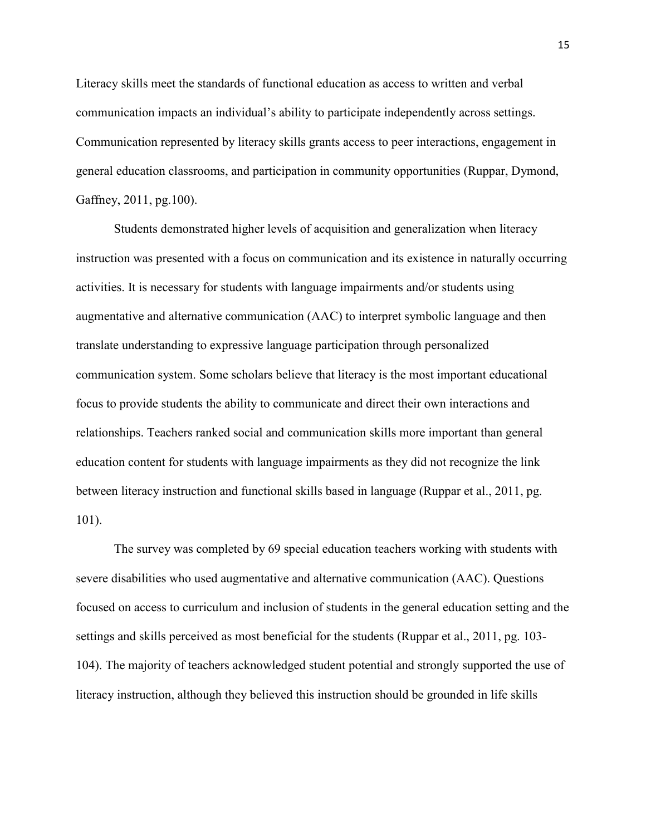Literacy skills meet the standards of functional education as access to written and verbal communication impacts an individual's ability to participate independently across settings. Communication represented by literacy skills grants access to peer interactions, engagement in general education classrooms, and participation in community opportunities (Ruppar, Dymond, Gaffney, 2011, pg.100).

Students demonstrated higher levels of acquisition and generalization when literacy instruction was presented with a focus on communication and its existence in naturally occurring activities. It is necessary for students with language impairments and/or students using augmentative and alternative communication (AAC) to interpret symbolic language and then translate understanding to expressive language participation through personalized communication system. Some scholars believe that literacy is the most important educational focus to provide students the ability to communicate and direct their own interactions and relationships. Teachers ranked social and communication skills more important than general education content for students with language impairments as they did not recognize the link between literacy instruction and functional skills based in language (Ruppar et al., 2011, pg. 101).

The survey was completed by 69 special education teachers working with students with severe disabilities who used augmentative and alternative communication (AAC). Questions focused on access to curriculum and inclusion of students in the general education setting and the settings and skills perceived as most beneficial for the students (Ruppar et al., 2011, pg. 103- 104). The majority of teachers acknowledged student potential and strongly supported the use of literacy instruction, although they believed this instruction should be grounded in life skills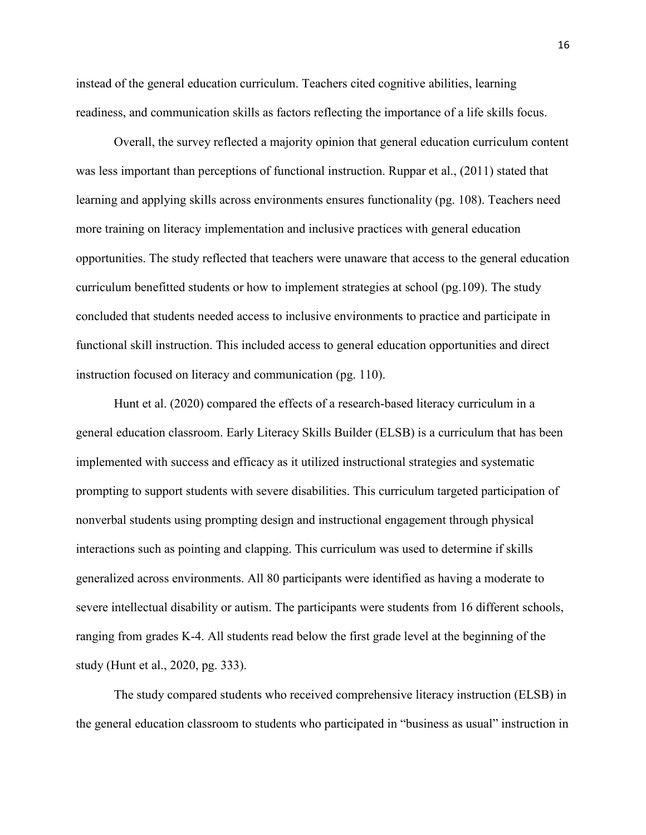instead of the general education curriculum. Teachers cited cognitive abilities, learning readiness, and communication skills as factors reflecting the importance of a life skills focus.

Overall, the survey reflected a majority opinion that general education curriculum content was less important than perceptions of functional instruction. Ruppar et al., (2011) stated that learning and applying skills across environments ensures functionality (pg. 108). Teachers need more training on literacy implementation and inclusive practices with general education opportunities. The study reflected that teachers were unaware that access to the general education curriculum benefitted students or how to implement strategies at school (pg.109). The study concluded that students needed access to inclusive environments to practice and participate in functional skill instruction. This included access to general education opportunities and direct instruction focused on literacy and communication (pg. 110).

Hunt et al. (2020) compared the effects of a research-based literacy curriculum in a general education classroom. Early Literacy Skills Builder (ELSB) is a curriculum that has been implemented with success and efficacy as it utilized instructional strategies and systematic prompting to support students with severe disabilities. This curriculum targeted participation of nonverbal students using prompting design and instructional engagement through physical interactions such as pointing and clapping. This curriculum was used to determine if skills generalized across environments. All 80 participants were identified as having a moderate to severe intellectual disability or autism. The participants were students from 16 different schools, ranging from grades K-4. All students read below the first grade level at the beginning of the study (Hunt et al., 2020, pg. 333).

 The study compared students who received comprehensive literacy instruction (ELSB) in the general education classroom to students who participated in "business as usual" instruction in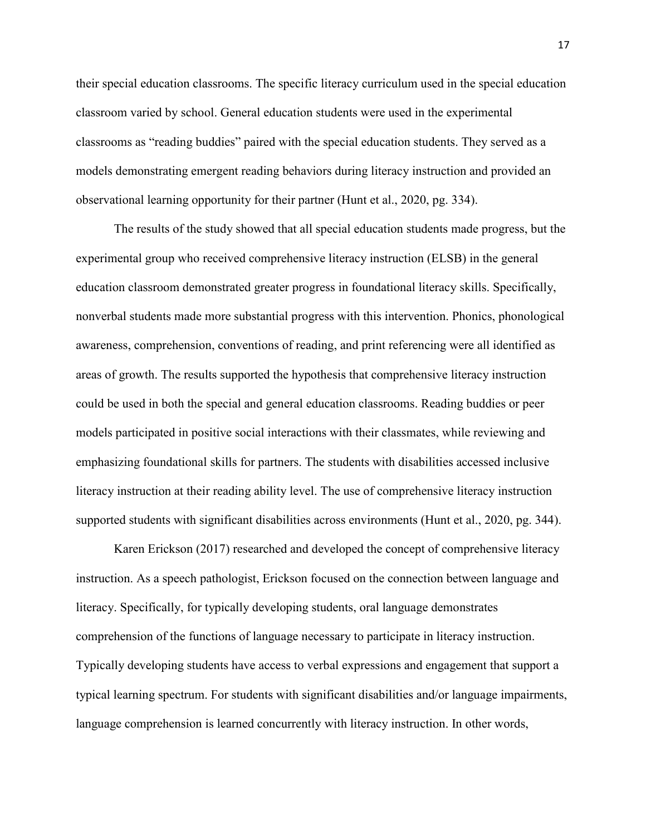their special education classrooms. The specific literacy curriculum used in the special education classroom varied by school. General education students were used in the experimental classrooms as "reading buddies" paired with the special education students. They served as a models demonstrating emergent reading behaviors during literacy instruction and provided an observational learning opportunity for their partner (Hunt et al., 2020, pg. 334).

 The results of the study showed that all special education students made progress, but the experimental group who received comprehensive literacy instruction (ELSB) in the general education classroom demonstrated greater progress in foundational literacy skills. Specifically, nonverbal students made more substantial progress with this intervention. Phonics, phonological awareness, comprehension, conventions of reading, and print referencing were all identified as areas of growth. The results supported the hypothesis that comprehensive literacy instruction could be used in both the special and general education classrooms. Reading buddies or peer models participated in positive social interactions with their classmates, while reviewing and emphasizing foundational skills for partners. The students with disabilities accessed inclusive literacy instruction at their reading ability level. The use of comprehensive literacy instruction supported students with significant disabilities across environments (Hunt et al., 2020, pg. 344).

Karen Erickson (2017) researched and developed the concept of comprehensive literacy instruction. As a speech pathologist, Erickson focused on the connection between language and literacy. Specifically, for typically developing students, oral language demonstrates comprehension of the functions of language necessary to participate in literacy instruction. Typically developing students have access to verbal expressions and engagement that support a typical learning spectrum. For students with significant disabilities and/or language impairments, language comprehension is learned concurrently with literacy instruction. In other words,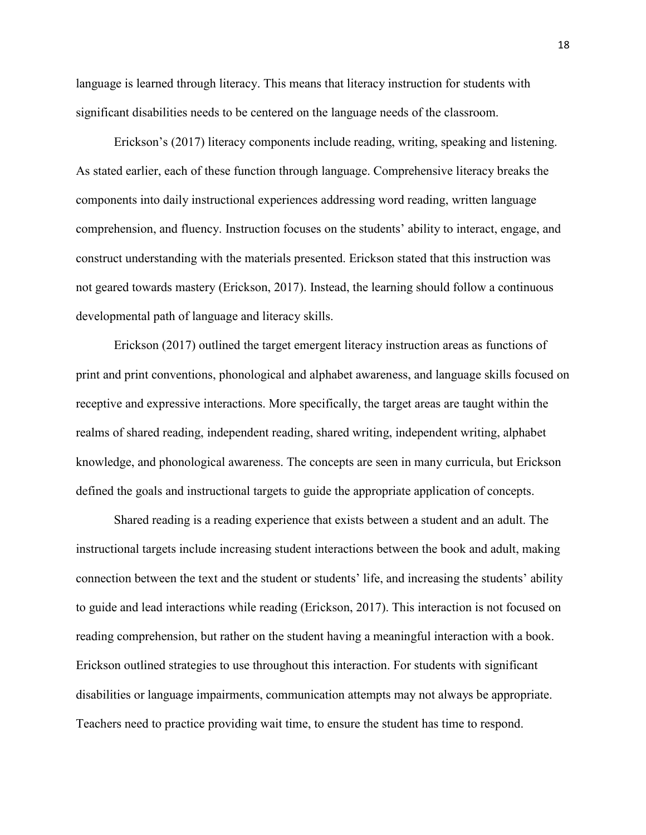language is learned through literacy. This means that literacy instruction for students with significant disabilities needs to be centered on the language needs of the classroom.

Erickson's (2017) literacy components include reading, writing, speaking and listening. As stated earlier, each of these function through language. Comprehensive literacy breaks the components into daily instructional experiences addressing word reading, written language comprehension, and fluency. Instruction focuses on the students' ability to interact, engage, and construct understanding with the materials presented. Erickson stated that this instruction was not geared towards mastery (Erickson, 2017). Instead, the learning should follow a continuous developmental path of language and literacy skills.

Erickson (2017) outlined the target emergent literacy instruction areas as functions of print and print conventions, phonological and alphabet awareness, and language skills focused on receptive and expressive interactions. More specifically, the target areas are taught within the realms of shared reading, independent reading, shared writing, independent writing, alphabet knowledge, and phonological awareness. The concepts are seen in many curricula, but Erickson defined the goals and instructional targets to guide the appropriate application of concepts.

Shared reading is a reading experience that exists between a student and an adult. The instructional targets include increasing student interactions between the book and adult, making connection between the text and the student or students' life, and increasing the students' ability to guide and lead interactions while reading (Erickson, 2017). This interaction is not focused on reading comprehension, but rather on the student having a meaningful interaction with a book. Erickson outlined strategies to use throughout this interaction. For students with significant disabilities or language impairments, communication attempts may not always be appropriate. Teachers need to practice providing wait time, to ensure the student has time to respond.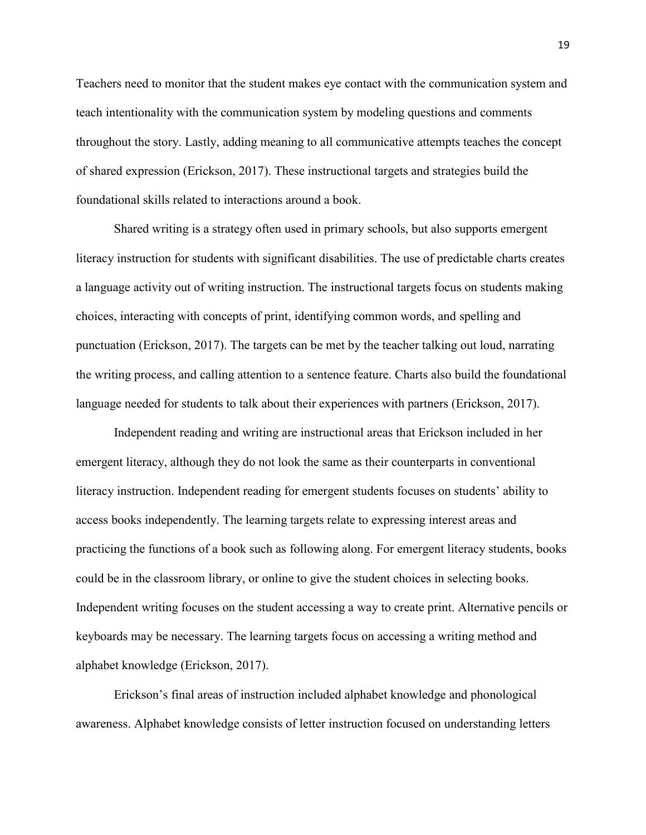Teachers need to monitor that the student makes eye contact with the communication system and teach intentionality with the communication system by modeling questions and comments throughout the story. Lastly, adding meaning to all communicative attempts teaches the concept of shared expression (Erickson, 2017). These instructional targets and strategies build the foundational skills related to interactions around a book.

Shared writing is a strategy often used in primary schools, but also supports emergent literacy instruction for students with significant disabilities. The use of predictable charts creates a language activity out of writing instruction. The instructional targets focus on students making choices, interacting with concepts of print, identifying common words, and spelling and punctuation (Erickson, 2017). The targets can be met by the teacher talking out loud, narrating the writing process, and calling attention to a sentence feature. Charts also build the foundational language needed for students to talk about their experiences with partners (Erickson, 2017).

Independent reading and writing are instructional areas that Erickson included in her emergent literacy, although they do not look the same as their counterparts in conventional literacy instruction. Independent reading for emergent students focuses on students' ability to access books independently. The learning targets relate to expressing interest areas and practicing the functions of a book such as following along. For emergent literacy students, books could be in the classroom library, or online to give the student choices in selecting books. Independent writing focuses on the student accessing a way to create print. Alternative pencils or keyboards may be necessary. The learning targets focus on accessing a writing method and alphabet knowledge (Erickson, 2017).

Erickson's final areas of instruction included alphabet knowledge and phonological awareness. Alphabet knowledge consists of letter instruction focused on understanding letters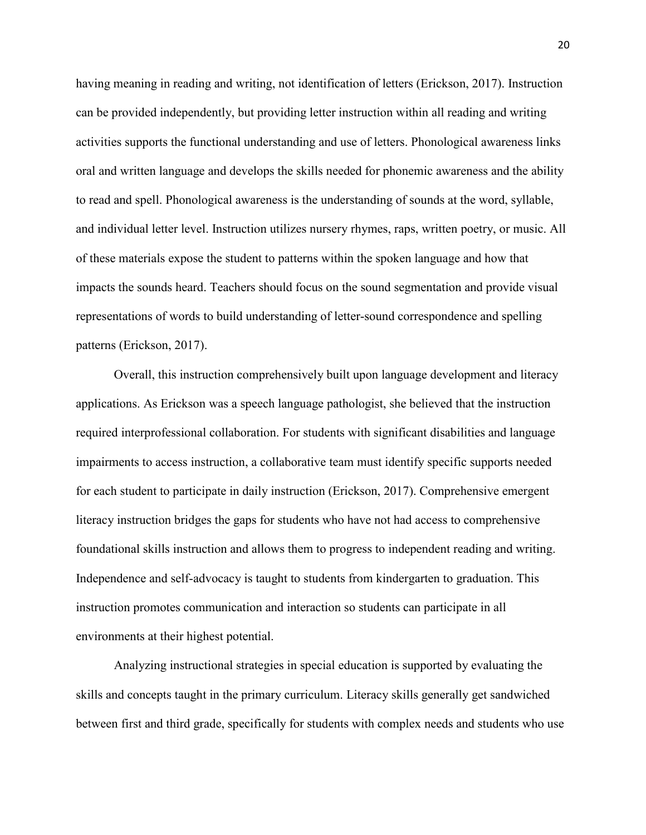having meaning in reading and writing, not identification of letters (Erickson, 2017). Instruction can be provided independently, but providing letter instruction within all reading and writing activities supports the functional understanding and use of letters. Phonological awareness links oral and written language and develops the skills needed for phonemic awareness and the ability to read and spell. Phonological awareness is the understanding of sounds at the word, syllable, and individual letter level. Instruction utilizes nursery rhymes, raps, written poetry, or music. All of these materials expose the student to patterns within the spoken language and how that impacts the sounds heard. Teachers should focus on the sound segmentation and provide visual representations of words to build understanding of letter-sound correspondence and spelling patterns (Erickson, 2017).

Overall, this instruction comprehensively built upon language development and literacy applications. As Erickson was a speech language pathologist, she believed that the instruction required interprofessional collaboration. For students with significant disabilities and language impairments to access instruction, a collaborative team must identify specific supports needed for each student to participate in daily instruction (Erickson, 2017). Comprehensive emergent literacy instruction bridges the gaps for students who have not had access to comprehensive foundational skills instruction and allows them to progress to independent reading and writing. Independence and self-advocacy is taught to students from kindergarten to graduation. This instruction promotes communication and interaction so students can participate in all environments at their highest potential.

Analyzing instructional strategies in special education is supported by evaluating the skills and concepts taught in the primary curriculum. Literacy skills generally get sandwiched between first and third grade, specifically for students with complex needs and students who use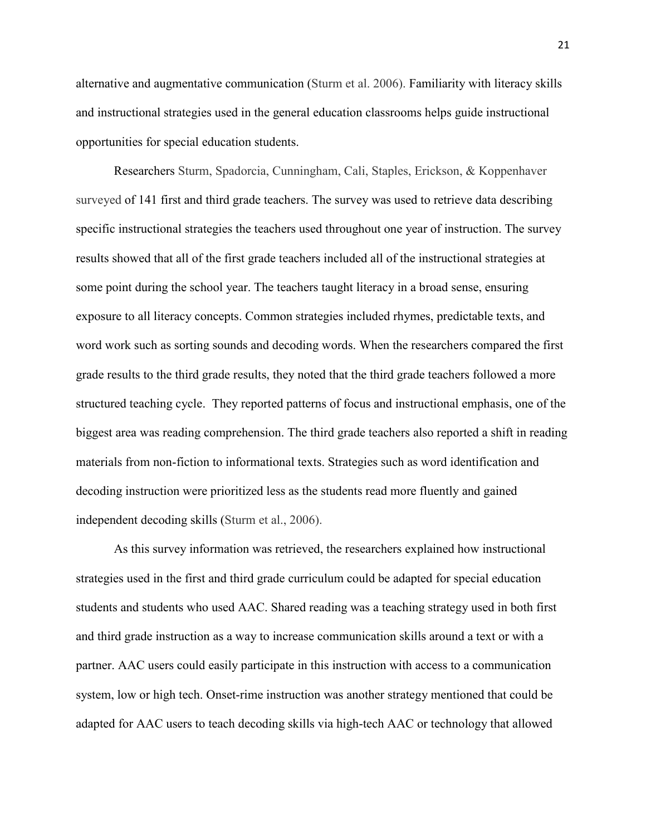alternative and augmentative communication (Sturm et al. 2006). Familiarity with literacy skills and instructional strategies used in the general education classrooms helps guide instructional opportunities for special education students.

Researchers Sturm, Spadorcia, Cunningham, Cali, Staples, Erickson, & Koppenhaver surveyed of 141 first and third grade teachers. The survey was used to retrieve data describing specific instructional strategies the teachers used throughout one year of instruction. The survey results showed that all of the first grade teachers included all of the instructional strategies at some point during the school year. The teachers taught literacy in a broad sense, ensuring exposure to all literacy concepts. Common strategies included rhymes, predictable texts, and word work such as sorting sounds and decoding words. When the researchers compared the first grade results to the third grade results, they noted that the third grade teachers followed a more structured teaching cycle. They reported patterns of focus and instructional emphasis, one of the biggest area was reading comprehension. The third grade teachers also reported a shift in reading materials from non-fiction to informational texts. Strategies such as word identification and decoding instruction were prioritized less as the students read more fluently and gained independent decoding skills (Sturm et al., 2006).

 As this survey information was retrieved, the researchers explained how instructional strategies used in the first and third grade curriculum could be adapted for special education students and students who used AAC. Shared reading was a teaching strategy used in both first and third grade instruction as a way to increase communication skills around a text or with a partner. AAC users could easily participate in this instruction with access to a communication system, low or high tech. Onset-rime instruction was another strategy mentioned that could be adapted for AAC users to teach decoding skills via high-tech AAC or technology that allowed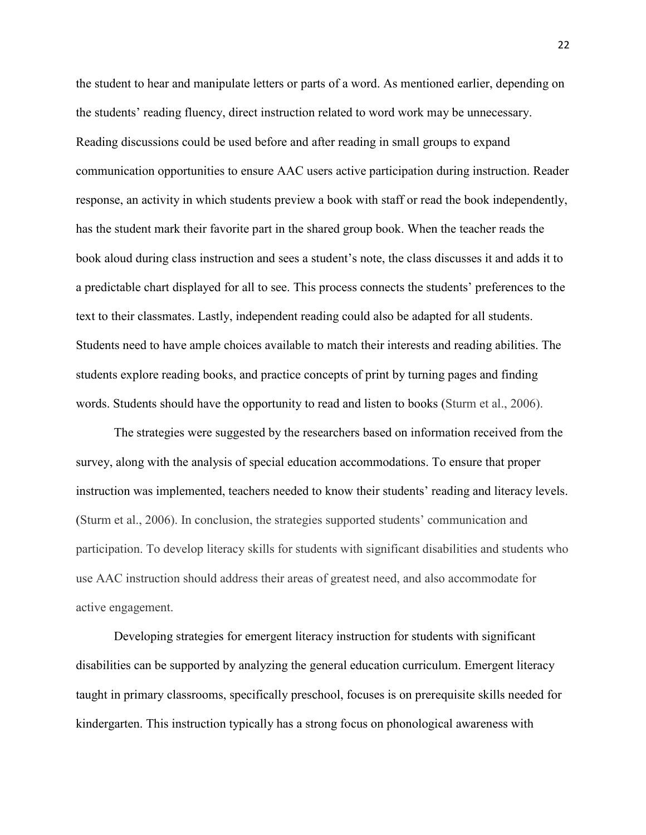the student to hear and manipulate letters or parts of a word. As mentioned earlier, depending on the students' reading fluency, direct instruction related to word work may be unnecessary. Reading discussions could be used before and after reading in small groups to expand communication opportunities to ensure AAC users active participation during instruction. Reader response, an activity in which students preview a book with staff or read the book independently, has the student mark their favorite part in the shared group book. When the teacher reads the book aloud during class instruction and sees a student's note, the class discusses it and adds it to a predictable chart displayed for all to see. This process connects the students' preferences to the text to their classmates. Lastly, independent reading could also be adapted for all students. Students need to have ample choices available to match their interests and reading abilities. The students explore reading books, and practice concepts of print by turning pages and finding words. Students should have the opportunity to read and listen to books (Sturm et al., 2006).

The strategies were suggested by the researchers based on information received from the survey, along with the analysis of special education accommodations. To ensure that proper instruction was implemented, teachers needed to know their students' reading and literacy levels. (Sturm et al., 2006). In conclusion, the strategies supported students' communication and participation. To develop literacy skills for students with significant disabilities and students who use AAC instruction should address their areas of greatest need, and also accommodate for active engagement.

Developing strategies for emergent literacy instruction for students with significant disabilities can be supported by analyzing the general education curriculum. Emergent literacy taught in primary classrooms, specifically preschool, focuses is on prerequisite skills needed for kindergarten. This instruction typically has a strong focus on phonological awareness with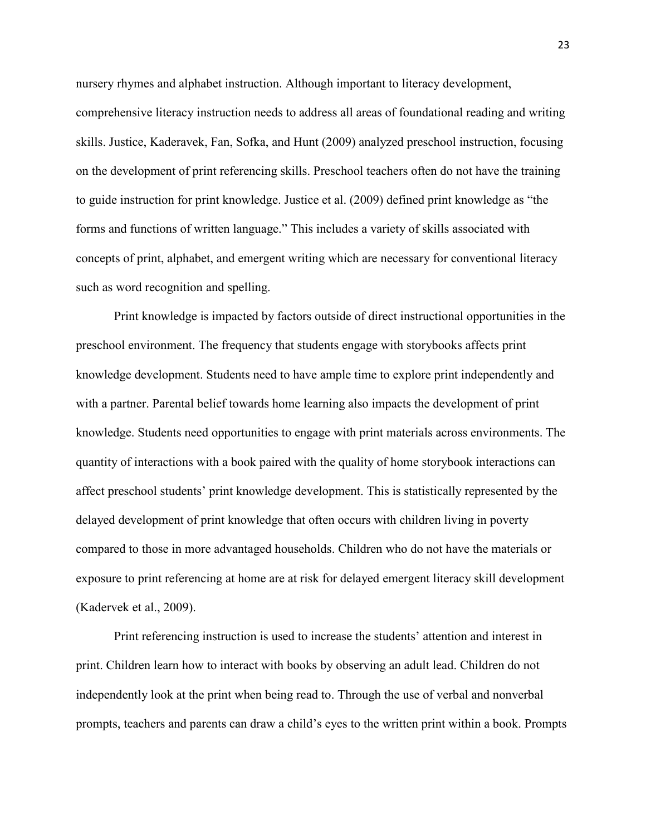nursery rhymes and alphabet instruction. Although important to literacy development, comprehensive literacy instruction needs to address all areas of foundational reading and writing skills. Justice, Kaderavek, Fan, Sofka, and Hunt (2009) analyzed preschool instruction, focusing on the development of print referencing skills. Preschool teachers often do not have the training to guide instruction for print knowledge. Justice et al. (2009) defined print knowledge as "the forms and functions of written language." This includes a variety of skills associated with concepts of print, alphabet, and emergent writing which are necessary for conventional literacy such as word recognition and spelling.

 Print knowledge is impacted by factors outside of direct instructional opportunities in the preschool environment. The frequency that students engage with storybooks affects print knowledge development. Students need to have ample time to explore print independently and with a partner. Parental belief towards home learning also impacts the development of print knowledge. Students need opportunities to engage with print materials across environments. The quantity of interactions with a book paired with the quality of home storybook interactions can affect preschool students' print knowledge development. This is statistically represented by the delayed development of print knowledge that often occurs with children living in poverty compared to those in more advantaged households. Children who do not have the materials or exposure to print referencing at home are at risk for delayed emergent literacy skill development (Kadervek et al., 2009).

Print referencing instruction is used to increase the students' attention and interest in print. Children learn how to interact with books by observing an adult lead. Children do not independently look at the print when being read to. Through the use of verbal and nonverbal prompts, teachers and parents can draw a child's eyes to the written print within a book. Prompts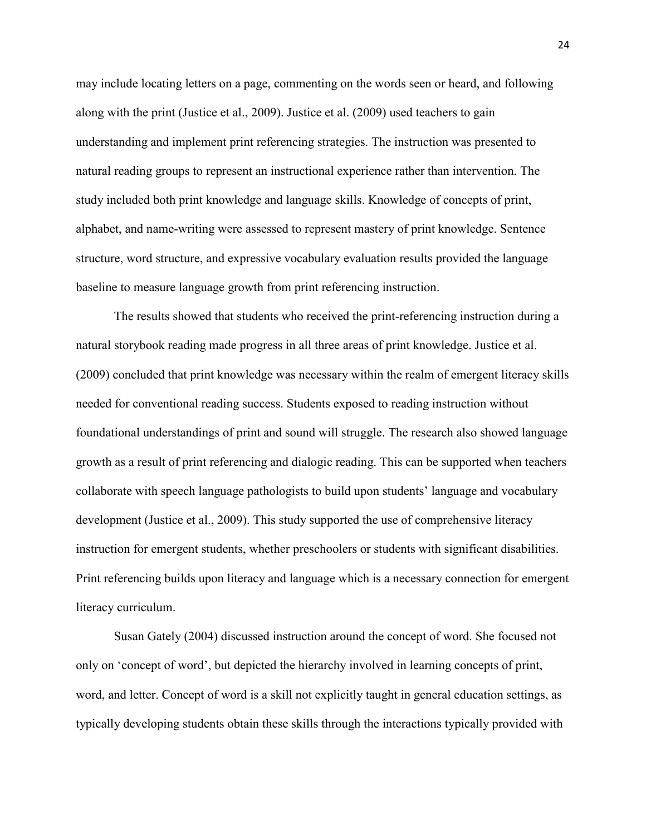may include locating letters on a page, commenting on the words seen or heard, and following along with the print (Justice et al., 2009). Justice et al. (2009) used teachers to gain understanding and implement print referencing strategies. The instruction was presented to natural reading groups to represent an instructional experience rather than intervention. The study included both print knowledge and language skills. Knowledge of concepts of print, alphabet, and name-writing were assessed to represent mastery of print knowledge. Sentence structure, word structure, and expressive vocabulary evaluation results provided the language baseline to measure language growth from print referencing instruction.

 The results showed that students who received the print-referencing instruction during a natural storybook reading made progress in all three areas of print knowledge. Justice et al. (2009) concluded that print knowledge was necessary within the realm of emergent literacy skills needed for conventional reading success. Students exposed to reading instruction without foundational understandings of print and sound will struggle. The research also showed language growth as a result of print referencing and dialogic reading. This can be supported when teachers collaborate with speech language pathologists to build upon students' language and vocabulary development (Justice et al., 2009). This study supported the use of comprehensive literacy instruction for emergent students, whether preschoolers or students with significant disabilities. Print referencing builds upon literacy and language which is a necessary connection for emergent literacy curriculum.

Susan Gately (2004) discussed instruction around the concept of word. She focused not only on 'concept of word', but depicted the hierarchy involved in learning concepts of print, word, and letter. Concept of word is a skill not explicitly taught in general education settings, as typically developing students obtain these skills through the interactions typically provided with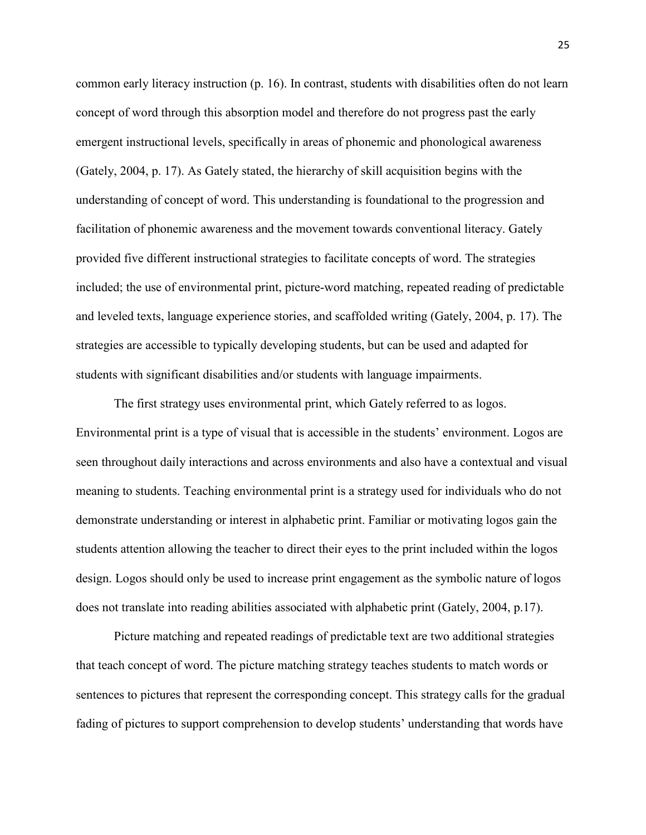common early literacy instruction (p. 16). In contrast, students with disabilities often do not learn concept of word through this absorption model and therefore do not progress past the early emergent instructional levels, specifically in areas of phonemic and phonological awareness (Gately, 2004, p. 17). As Gately stated, the hierarchy of skill acquisition begins with the understanding of concept of word. This understanding is foundational to the progression and facilitation of phonemic awareness and the movement towards conventional literacy. Gately provided five different instructional strategies to facilitate concepts of word. The strategies included; the use of environmental print, picture-word matching, repeated reading of predictable and leveled texts, language experience stories, and scaffolded writing (Gately, 2004, p. 17). The strategies are accessible to typically developing students, but can be used and adapted for students with significant disabilities and/or students with language impairments.

The first strategy uses environmental print, which Gately referred to as logos. Environmental print is a type of visual that is accessible in the students' environment. Logos are seen throughout daily interactions and across environments and also have a contextual and visual meaning to students. Teaching environmental print is a strategy used for individuals who do not demonstrate understanding or interest in alphabetic print. Familiar or motivating logos gain the students attention allowing the teacher to direct their eyes to the print included within the logos design. Logos should only be used to increase print engagement as the symbolic nature of logos does not translate into reading abilities associated with alphabetic print (Gately, 2004, p.17).

Picture matching and repeated readings of predictable text are two additional strategies that teach concept of word. The picture matching strategy teaches students to match words or sentences to pictures that represent the corresponding concept. This strategy calls for the gradual fading of pictures to support comprehension to develop students' understanding that words have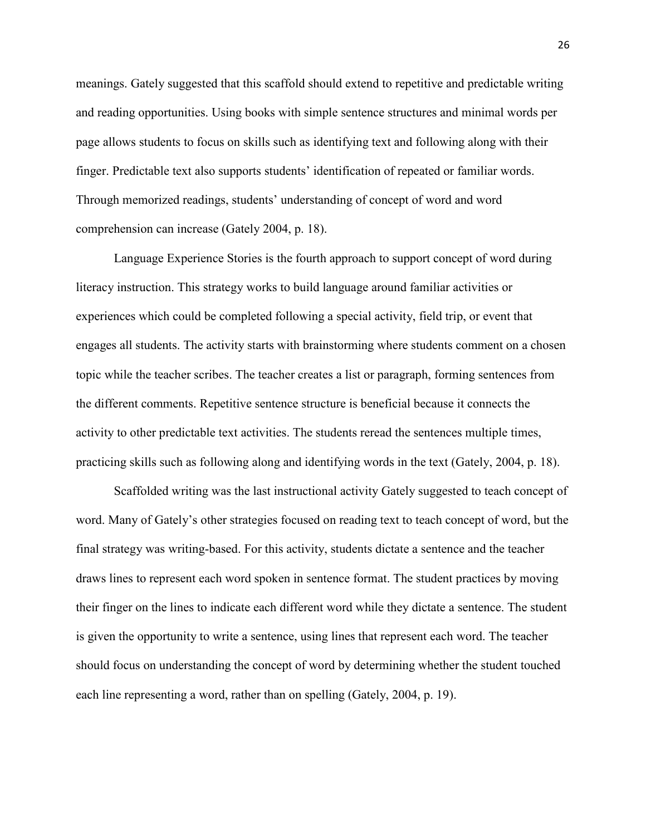meanings. Gately suggested that this scaffold should extend to repetitive and predictable writing and reading opportunities. Using books with simple sentence structures and minimal words per page allows students to focus on skills such as identifying text and following along with their finger. Predictable text also supports students' identification of repeated or familiar words. Through memorized readings, students' understanding of concept of word and word comprehension can increase (Gately 2004, p. 18).

Language Experience Stories is the fourth approach to support concept of word during literacy instruction. This strategy works to build language around familiar activities or experiences which could be completed following a special activity, field trip, or event that engages all students. The activity starts with brainstorming where students comment on a chosen topic while the teacher scribes. The teacher creates a list or paragraph, forming sentences from the different comments. Repetitive sentence structure is beneficial because it connects the activity to other predictable text activities. The students reread the sentences multiple times, practicing skills such as following along and identifying words in the text (Gately, 2004, p. 18).

Scaffolded writing was the last instructional activity Gately suggested to teach concept of word. Many of Gately's other strategies focused on reading text to teach concept of word, but the final strategy was writing-based. For this activity, students dictate a sentence and the teacher draws lines to represent each word spoken in sentence format. The student practices by moving their finger on the lines to indicate each different word while they dictate a sentence. The student is given the opportunity to write a sentence, using lines that represent each word. The teacher should focus on understanding the concept of word by determining whether the student touched each line representing a word, rather than on spelling (Gately, 2004, p. 19).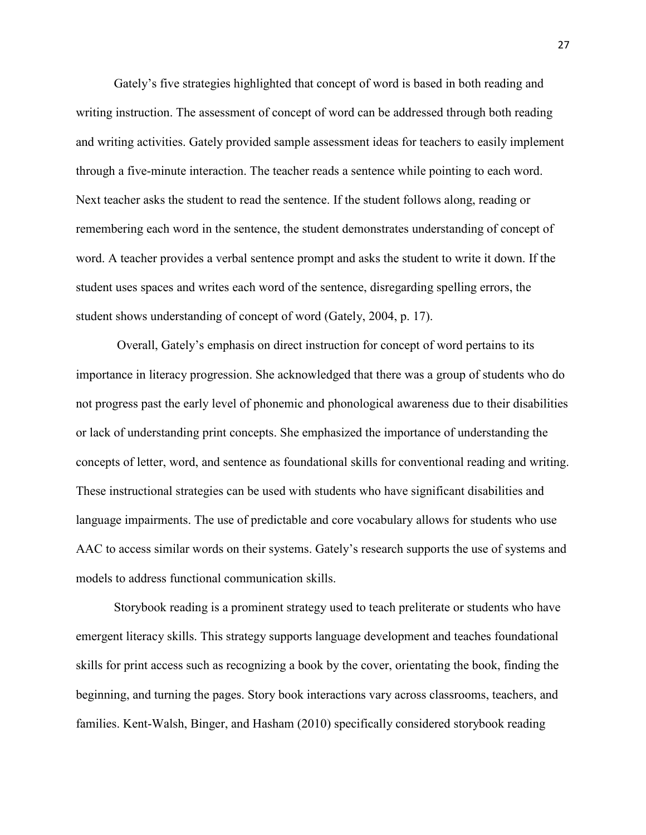Gately's five strategies highlighted that concept of word is based in both reading and writing instruction. The assessment of concept of word can be addressed through both reading and writing activities. Gately provided sample assessment ideas for teachers to easily implement through a five-minute interaction. The teacher reads a sentence while pointing to each word. Next teacher asks the student to read the sentence. If the student follows along, reading or remembering each word in the sentence, the student demonstrates understanding of concept of word. A teacher provides a verbal sentence prompt and asks the student to write it down. If the student uses spaces and writes each word of the sentence, disregarding spelling errors, the student shows understanding of concept of word (Gately, 2004, p. 17).

 Overall, Gately's emphasis on direct instruction for concept of word pertains to its importance in literacy progression. She acknowledged that there was a group of students who do not progress past the early level of phonemic and phonological awareness due to their disabilities or lack of understanding print concepts. She emphasized the importance of understanding the concepts of letter, word, and sentence as foundational skills for conventional reading and writing. These instructional strategies can be used with students who have significant disabilities and language impairments. The use of predictable and core vocabulary allows for students who use AAC to access similar words on their systems. Gately's research supports the use of systems and models to address functional communication skills.

Storybook reading is a prominent strategy used to teach preliterate or students who have emergent literacy skills. This strategy supports language development and teaches foundational skills for print access such as recognizing a book by the cover, orientating the book, finding the beginning, and turning the pages. Story book interactions vary across classrooms, teachers, and families. Kent-Walsh, Binger, and Hasham (2010) specifically considered storybook reading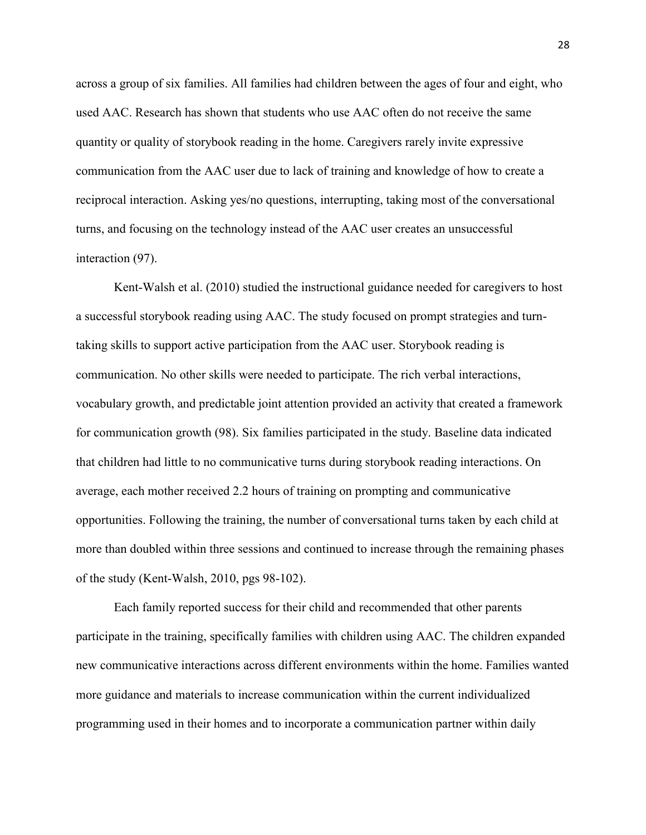across a group of six families. All families had children between the ages of four and eight, who used AAC. Research has shown that students who use AAC often do not receive the same quantity or quality of storybook reading in the home. Caregivers rarely invite expressive communication from the AAC user due to lack of training and knowledge of how to create a reciprocal interaction. Asking yes/no questions, interrupting, taking most of the conversational turns, and focusing on the technology instead of the AAC user creates an unsuccessful interaction (97).

Kent-Walsh et al. (2010) studied the instructional guidance needed for caregivers to host a successful storybook reading using AAC. The study focused on prompt strategies and turntaking skills to support active participation from the AAC user. Storybook reading is communication. No other skills were needed to participate. The rich verbal interactions, vocabulary growth, and predictable joint attention provided an activity that created a framework for communication growth (98). Six families participated in the study. Baseline data indicated that children had little to no communicative turns during storybook reading interactions. On average, each mother received 2.2 hours of training on prompting and communicative opportunities. Following the training, the number of conversational turns taken by each child at more than doubled within three sessions and continued to increase through the remaining phases of the study (Kent-Walsh, 2010, pgs 98-102).

Each family reported success for their child and recommended that other parents participate in the training, specifically families with children using AAC. The children expanded new communicative interactions across different environments within the home. Families wanted more guidance and materials to increase communication within the current individualized programming used in their homes and to incorporate a communication partner within daily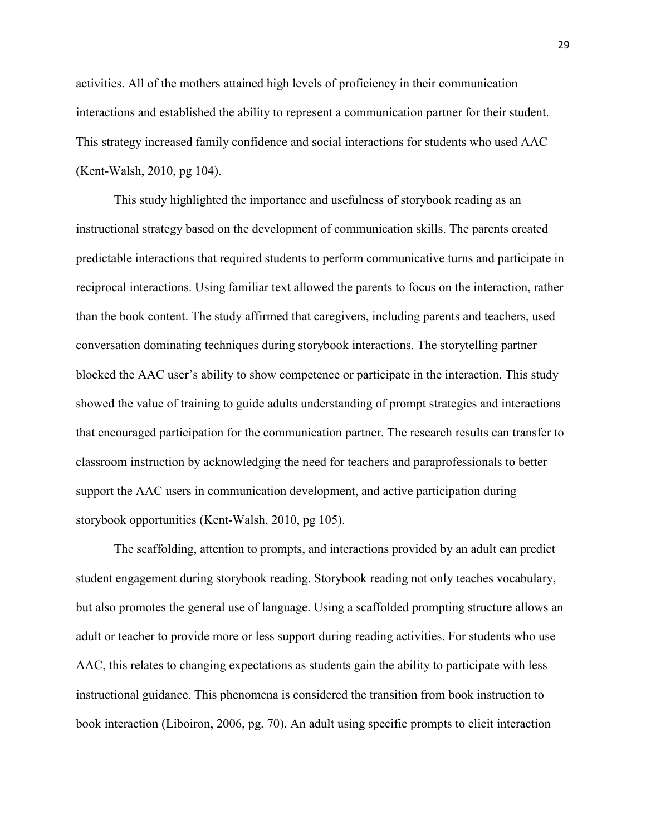activities. All of the mothers attained high levels of proficiency in their communication interactions and established the ability to represent a communication partner for their student. This strategy increased family confidence and social interactions for students who used AAC (Kent-Walsh, 2010, pg 104).

 This study highlighted the importance and usefulness of storybook reading as an instructional strategy based on the development of communication skills. The parents created predictable interactions that required students to perform communicative turns and participate in reciprocal interactions. Using familiar text allowed the parents to focus on the interaction, rather than the book content. The study affirmed that caregivers, including parents and teachers, used conversation dominating techniques during storybook interactions. The storytelling partner blocked the AAC user's ability to show competence or participate in the interaction. This study showed the value of training to guide adults understanding of prompt strategies and interactions that encouraged participation for the communication partner. The research results can transfer to classroom instruction by acknowledging the need for teachers and paraprofessionals to better support the AAC users in communication development, and active participation during storybook opportunities (Kent-Walsh, 2010, pg 105).

The scaffolding, attention to prompts, and interactions provided by an adult can predict student engagement during storybook reading. Storybook reading not only teaches vocabulary, but also promotes the general use of language. Using a scaffolded prompting structure allows an adult or teacher to provide more or less support during reading activities. For students who use AAC, this relates to changing expectations as students gain the ability to participate with less instructional guidance. This phenomena is considered the transition from book instruction to book interaction (Liboiron, 2006, pg. 70). An adult using specific prompts to elicit interaction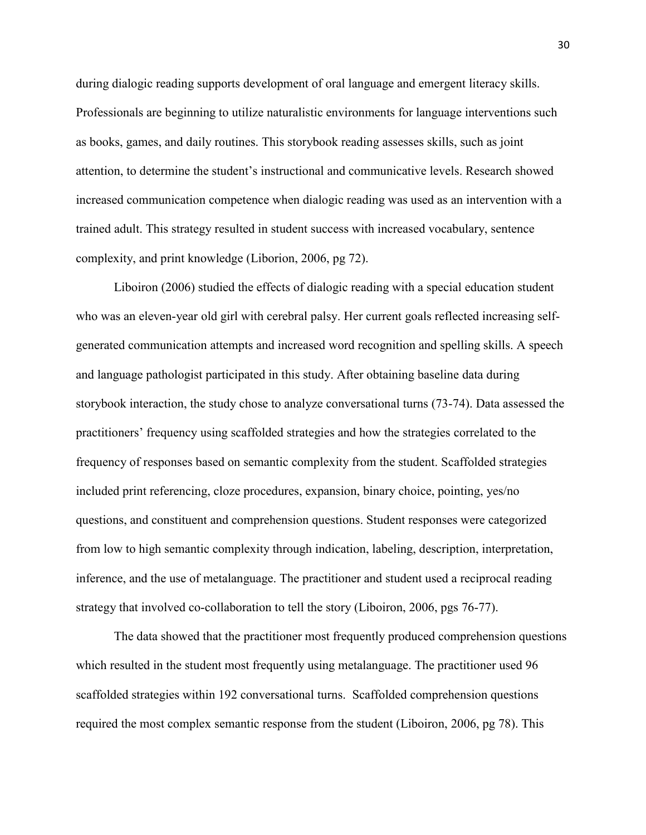during dialogic reading supports development of oral language and emergent literacy skills. Professionals are beginning to utilize naturalistic environments for language interventions such as books, games, and daily routines. This storybook reading assesses skills, such as joint attention, to determine the student's instructional and communicative levels. Research showed increased communication competence when dialogic reading was used as an intervention with a trained adult. This strategy resulted in student success with increased vocabulary, sentence complexity, and print knowledge (Liborion, 2006, pg 72).

Liboiron (2006) studied the effects of dialogic reading with a special education student who was an eleven-year old girl with cerebral palsy. Her current goals reflected increasing selfgenerated communication attempts and increased word recognition and spelling skills. A speech and language pathologist participated in this study. After obtaining baseline data during storybook interaction, the study chose to analyze conversational turns (73-74). Data assessed the practitioners' frequency using scaffolded strategies and how the strategies correlated to the frequency of responses based on semantic complexity from the student. Scaffolded strategies included print referencing, cloze procedures, expansion, binary choice, pointing, yes/no questions, and constituent and comprehension questions. Student responses were categorized from low to high semantic complexity through indication, labeling, description, interpretation, inference, and the use of metalanguage. The practitioner and student used a reciprocal reading strategy that involved co-collaboration to tell the story (Liboiron, 2006, pgs 76-77).

The data showed that the practitioner most frequently produced comprehension questions which resulted in the student most frequently using metalanguage. The practitioner used 96 scaffolded strategies within 192 conversational turns. Scaffolded comprehension questions required the most complex semantic response from the student (Liboiron, 2006, pg 78). This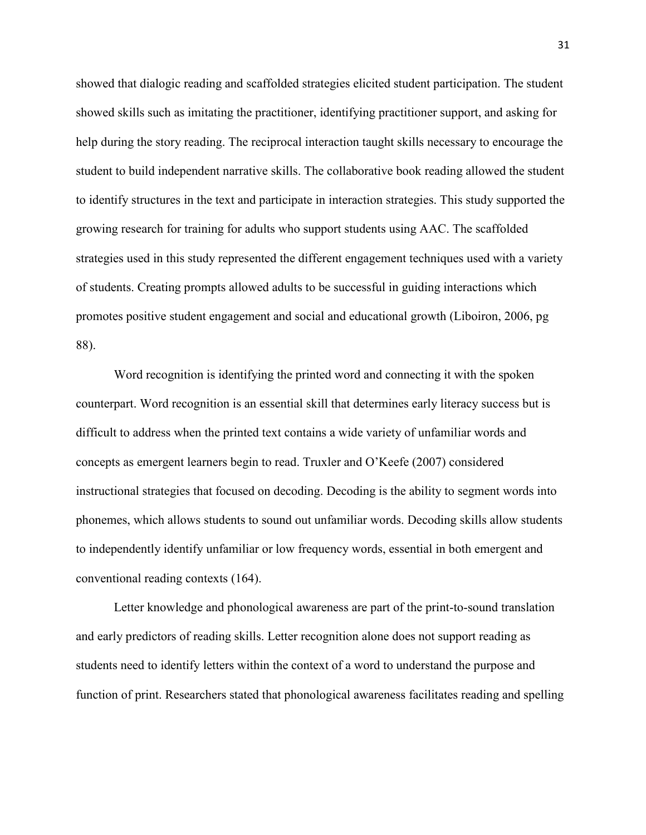showed that dialogic reading and scaffolded strategies elicited student participation. The student showed skills such as imitating the practitioner, identifying practitioner support, and asking for help during the story reading. The reciprocal interaction taught skills necessary to encourage the student to build independent narrative skills. The collaborative book reading allowed the student to identify structures in the text and participate in interaction strategies. This study supported the growing research for training for adults who support students using AAC. The scaffolded strategies used in this study represented the different engagement techniques used with a variety of students. Creating prompts allowed adults to be successful in guiding interactions which promotes positive student engagement and social and educational growth (Liboiron, 2006, pg 88).

Word recognition is identifying the printed word and connecting it with the spoken counterpart. Word recognition is an essential skill that determines early literacy success but is difficult to address when the printed text contains a wide variety of unfamiliar words and concepts as emergent learners begin to read. Truxler and O'Keefe (2007) considered instructional strategies that focused on decoding. Decoding is the ability to segment words into phonemes, which allows students to sound out unfamiliar words. Decoding skills allow students to independently identify unfamiliar or low frequency words, essential in both emergent and conventional reading contexts (164).

Letter knowledge and phonological awareness are part of the print-to-sound translation and early predictors of reading skills. Letter recognition alone does not support reading as students need to identify letters within the context of a word to understand the purpose and function of print. Researchers stated that phonological awareness facilitates reading and spelling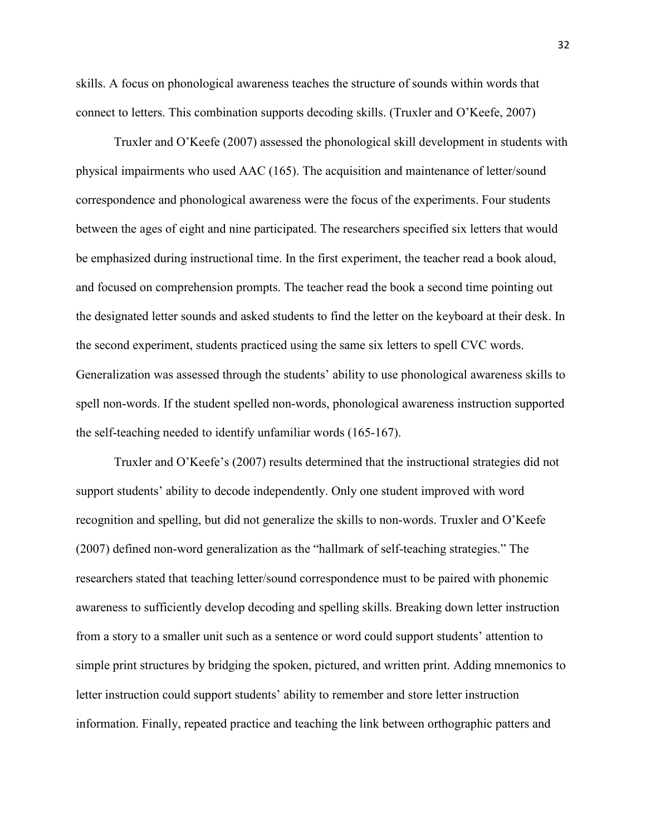skills. A focus on phonological awareness teaches the structure of sounds within words that connect to letters. This combination supports decoding skills. (Truxler and O'Keefe, 2007)

Truxler and O'Keefe (2007) assessed the phonological skill development in students with physical impairments who used AAC (165). The acquisition and maintenance of letter/sound correspondence and phonological awareness were the focus of the experiments. Four students between the ages of eight and nine participated. The researchers specified six letters that would be emphasized during instructional time. In the first experiment, the teacher read a book aloud, and focused on comprehension prompts. The teacher read the book a second time pointing out the designated letter sounds and asked students to find the letter on the keyboard at their desk. In the second experiment, students practiced using the same six letters to spell CVC words. Generalization was assessed through the students' ability to use phonological awareness skills to spell non-words. If the student spelled non-words, phonological awareness instruction supported the self-teaching needed to identify unfamiliar words (165-167).

Truxler and O'Keefe's (2007) results determined that the instructional strategies did not support students' ability to decode independently. Only one student improved with word recognition and spelling, but did not generalize the skills to non-words. Truxler and O'Keefe (2007) defined non-word generalization as the "hallmark of self-teaching strategies." The researchers stated that teaching letter/sound correspondence must to be paired with phonemic awareness to sufficiently develop decoding and spelling skills. Breaking down letter instruction from a story to a smaller unit such as a sentence or word could support students' attention to simple print structures by bridging the spoken, pictured, and written print. Adding mnemonics to letter instruction could support students' ability to remember and store letter instruction information. Finally, repeated practice and teaching the link between orthographic patters and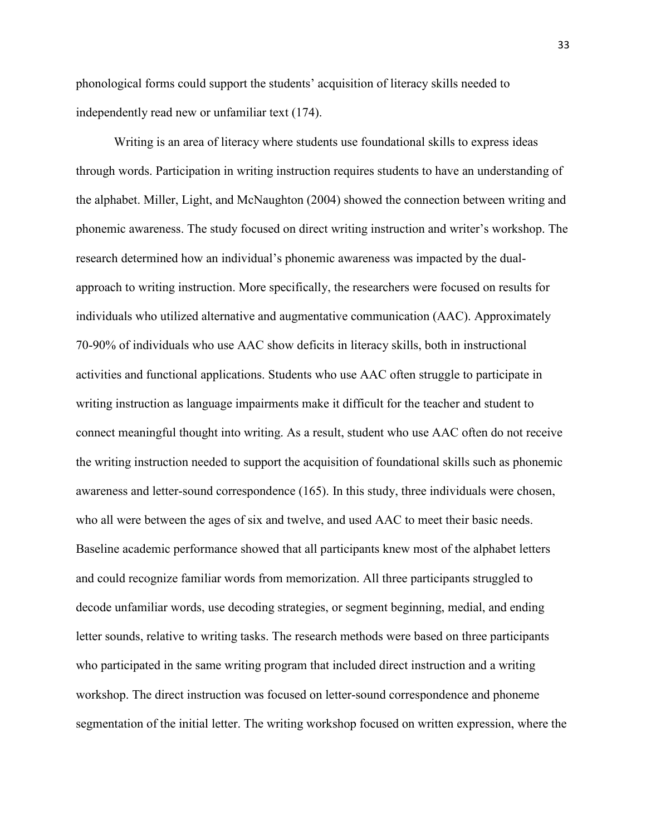phonological forms could support the students' acquisition of literacy skills needed to independently read new or unfamiliar text (174).

Writing is an area of literacy where students use foundational skills to express ideas through words. Participation in writing instruction requires students to have an understanding of the alphabet. Miller, Light, and McNaughton (2004) showed the connection between writing and phonemic awareness. The study focused on direct writing instruction and writer's workshop. The research determined how an individual's phonemic awareness was impacted by the dualapproach to writing instruction. More specifically, the researchers were focused on results for individuals who utilized alternative and augmentative communication (AAC). Approximately 70-90% of individuals who use AAC show deficits in literacy skills, both in instructional activities and functional applications. Students who use AAC often struggle to participate in writing instruction as language impairments make it difficult for the teacher and student to connect meaningful thought into writing. As a result, student who use AAC often do not receive the writing instruction needed to support the acquisition of foundational skills such as phonemic awareness and letter-sound correspondence (165). In this study, three individuals were chosen, who all were between the ages of six and twelve, and used AAC to meet their basic needs. Baseline academic performance showed that all participants knew most of the alphabet letters and could recognize familiar words from memorization. All three participants struggled to decode unfamiliar words, use decoding strategies, or segment beginning, medial, and ending letter sounds, relative to writing tasks. The research methods were based on three participants who participated in the same writing program that included direct instruction and a writing workshop. The direct instruction was focused on letter-sound correspondence and phoneme segmentation of the initial letter. The writing workshop focused on written expression, where the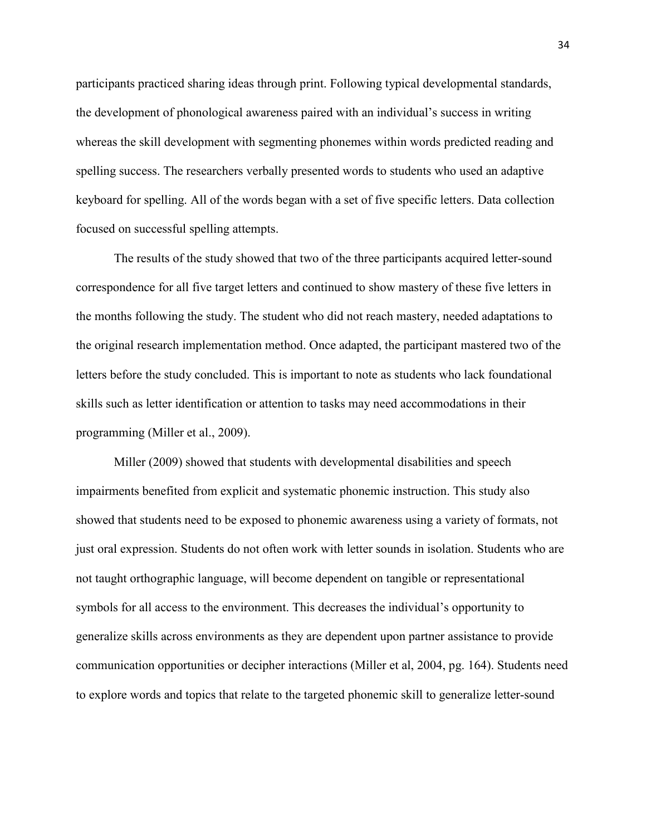participants practiced sharing ideas through print. Following typical developmental standards, the development of phonological awareness paired with an individual's success in writing whereas the skill development with segmenting phonemes within words predicted reading and spelling success. The researchers verbally presented words to students who used an adaptive keyboard for spelling. All of the words began with a set of five specific letters. Data collection focused on successful spelling attempts.

 The results of the study showed that two of the three participants acquired letter-sound correspondence for all five target letters and continued to show mastery of these five letters in the months following the study. The student who did not reach mastery, needed adaptations to the original research implementation method. Once adapted, the participant mastered two of the letters before the study concluded. This is important to note as students who lack foundational skills such as letter identification or attention to tasks may need accommodations in their programming (Miller et al., 2009).

Miller (2009) showed that students with developmental disabilities and speech impairments benefited from explicit and systematic phonemic instruction. This study also showed that students need to be exposed to phonemic awareness using a variety of formats, not just oral expression. Students do not often work with letter sounds in isolation. Students who are not taught orthographic language, will become dependent on tangible or representational symbols for all access to the environment. This decreases the individual's opportunity to generalize skills across environments as they are dependent upon partner assistance to provide communication opportunities or decipher interactions (Miller et al, 2004, pg. 164). Students need to explore words and topics that relate to the targeted phonemic skill to generalize letter-sound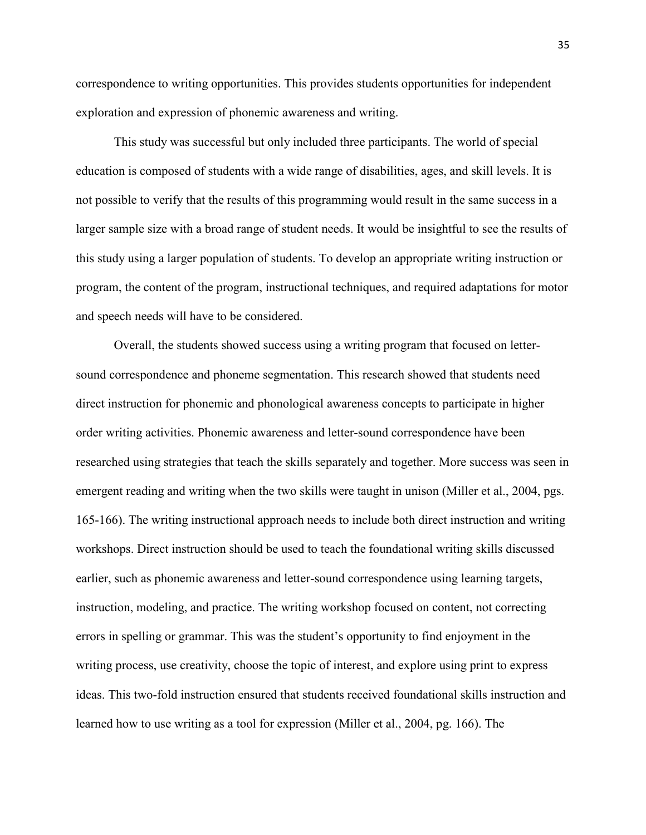correspondence to writing opportunities. This provides students opportunities for independent exploration and expression of phonemic awareness and writing.

 This study was successful but only included three participants. The world of special education is composed of students with a wide range of disabilities, ages, and skill levels. It is not possible to verify that the results of this programming would result in the same success in a larger sample size with a broad range of student needs. It would be insightful to see the results of this study using a larger population of students. To develop an appropriate writing instruction or program, the content of the program, instructional techniques, and required adaptations for motor and speech needs will have to be considered.

Overall, the students showed success using a writing program that focused on lettersound correspondence and phoneme segmentation. This research showed that students need direct instruction for phonemic and phonological awareness concepts to participate in higher order writing activities. Phonemic awareness and letter-sound correspondence have been researched using strategies that teach the skills separately and together. More success was seen in emergent reading and writing when the two skills were taught in unison (Miller et al., 2004, pgs. 165-166). The writing instructional approach needs to include both direct instruction and writing workshops. Direct instruction should be used to teach the foundational writing skills discussed earlier, such as phonemic awareness and letter-sound correspondence using learning targets, instruction, modeling, and practice. The writing workshop focused on content, not correcting errors in spelling or grammar. This was the student's opportunity to find enjoyment in the writing process, use creativity, choose the topic of interest, and explore using print to express ideas. This two-fold instruction ensured that students received foundational skills instruction and learned how to use writing as a tool for expression (Miller et al., 2004, pg. 166). The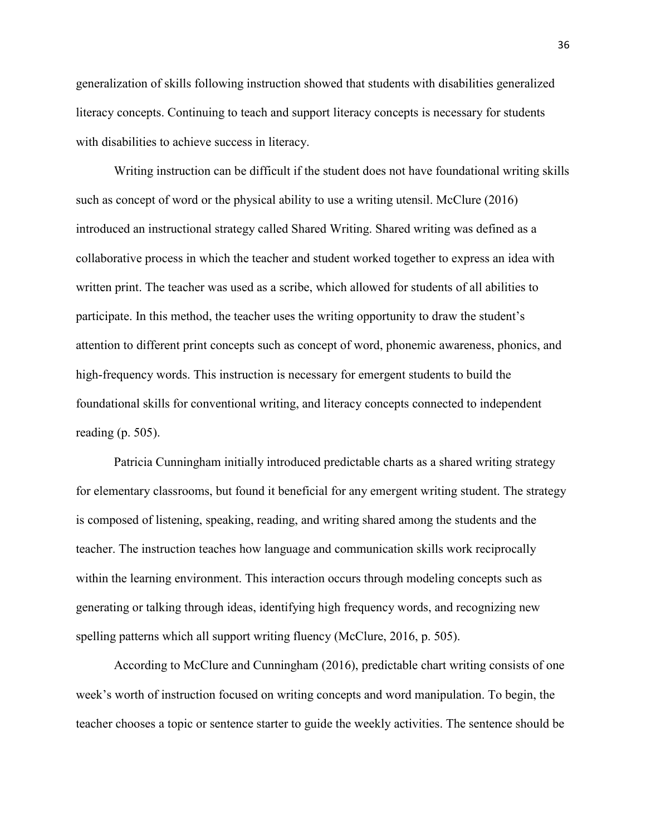generalization of skills following instruction showed that students with disabilities generalized literacy concepts. Continuing to teach and support literacy concepts is necessary for students with disabilities to achieve success in literacy.

Writing instruction can be difficult if the student does not have foundational writing skills such as concept of word or the physical ability to use a writing utensil. McClure (2016) introduced an instructional strategy called Shared Writing. Shared writing was defined as a collaborative process in which the teacher and student worked together to express an idea with written print. The teacher was used as a scribe, which allowed for students of all abilities to participate. In this method, the teacher uses the writing opportunity to draw the student's attention to different print concepts such as concept of word, phonemic awareness, phonics, and high-frequency words. This instruction is necessary for emergent students to build the foundational skills for conventional writing, and literacy concepts connected to independent reading (p. 505).

Patricia Cunningham initially introduced predictable charts as a shared writing strategy for elementary classrooms, but found it beneficial for any emergent writing student. The strategy is composed of listening, speaking, reading, and writing shared among the students and the teacher. The instruction teaches how language and communication skills work reciprocally within the learning environment. This interaction occurs through modeling concepts such as generating or talking through ideas, identifying high frequency words, and recognizing new spelling patterns which all support writing fluency (McClure, 2016, p. 505).

According to McClure and Cunningham (2016), predictable chart writing consists of one week's worth of instruction focused on writing concepts and word manipulation. To begin, the teacher chooses a topic or sentence starter to guide the weekly activities. The sentence should be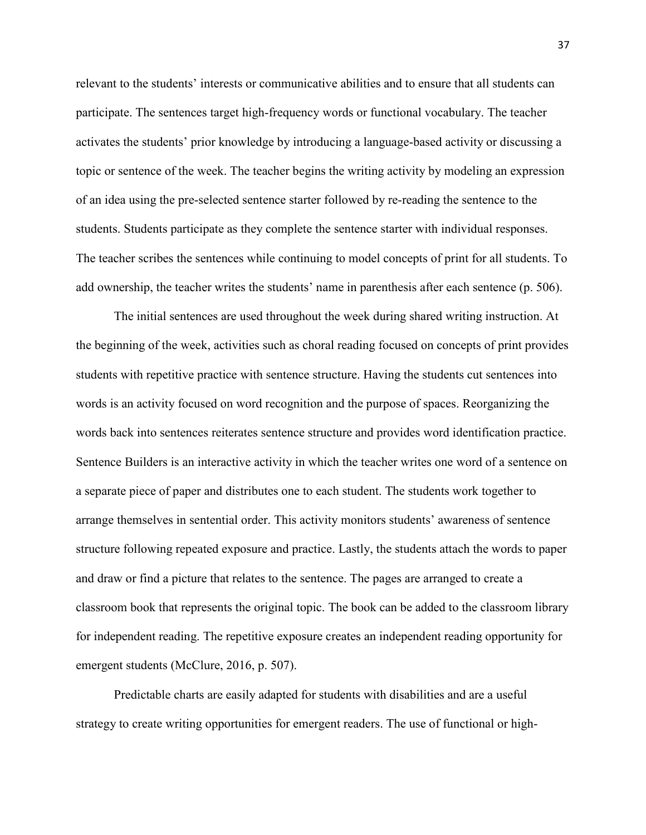relevant to the students' interests or communicative abilities and to ensure that all students can participate. The sentences target high-frequency words or functional vocabulary. The teacher activates the students' prior knowledge by introducing a language-based activity or discussing a topic or sentence of the week. The teacher begins the writing activity by modeling an expression of an idea using the pre-selected sentence starter followed by re-reading the sentence to the students. Students participate as they complete the sentence starter with individual responses. The teacher scribes the sentences while continuing to model concepts of print for all students. To add ownership, the teacher writes the students' name in parenthesis after each sentence (p. 506).

The initial sentences are used throughout the week during shared writing instruction. At the beginning of the week, activities such as choral reading focused on concepts of print provides students with repetitive practice with sentence structure. Having the students cut sentences into words is an activity focused on word recognition and the purpose of spaces. Reorganizing the words back into sentences reiterates sentence structure and provides word identification practice. Sentence Builders is an interactive activity in which the teacher writes one word of a sentence on a separate piece of paper and distributes one to each student. The students work together to arrange themselves in sentential order. This activity monitors students' awareness of sentence structure following repeated exposure and practice. Lastly, the students attach the words to paper and draw or find a picture that relates to the sentence. The pages are arranged to create a classroom book that represents the original topic. The book can be added to the classroom library for independent reading. The repetitive exposure creates an independent reading opportunity for emergent students (McClure, 2016, p. 507).

Predictable charts are easily adapted for students with disabilities and are a useful strategy to create writing opportunities for emergent readers. The use of functional or high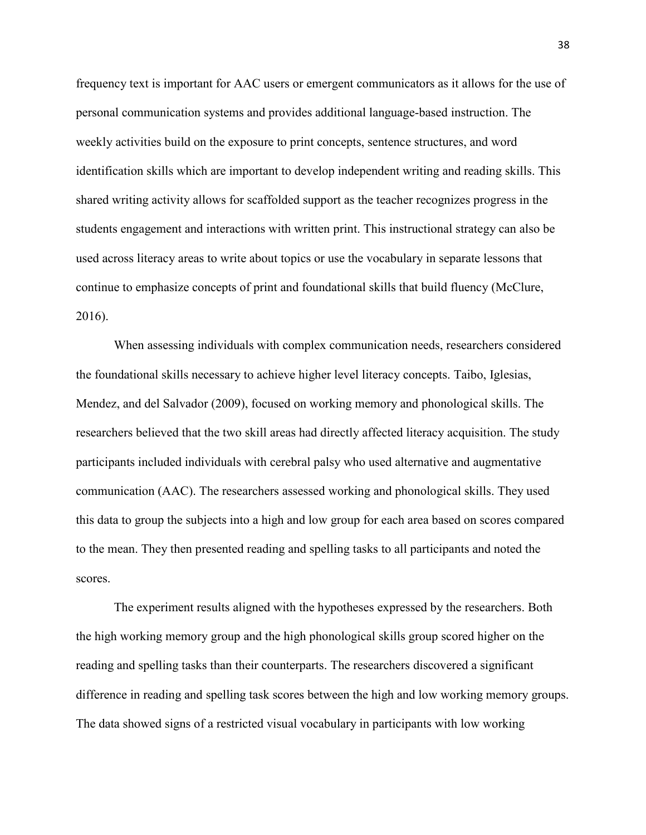frequency text is important for AAC users or emergent communicators as it allows for the use of personal communication systems and provides additional language-based instruction. The weekly activities build on the exposure to print concepts, sentence structures, and word identification skills which are important to develop independent writing and reading skills. This shared writing activity allows for scaffolded support as the teacher recognizes progress in the students engagement and interactions with written print. This instructional strategy can also be used across literacy areas to write about topics or use the vocabulary in separate lessons that continue to emphasize concepts of print and foundational skills that build fluency (McClure, 2016).

When assessing individuals with complex communication needs, researchers considered the foundational skills necessary to achieve higher level literacy concepts. Taibo, Iglesias, Mendez, and del Salvador (2009), focused on working memory and phonological skills. The researchers believed that the two skill areas had directly affected literacy acquisition. The study participants included individuals with cerebral palsy who used alternative and augmentative communication (AAC). The researchers assessed working and phonological skills. They used this data to group the subjects into a high and low group for each area based on scores compared to the mean. They then presented reading and spelling tasks to all participants and noted the scores.

The experiment results aligned with the hypotheses expressed by the researchers. Both the high working memory group and the high phonological skills group scored higher on the reading and spelling tasks than their counterparts. The researchers discovered a significant difference in reading and spelling task scores between the high and low working memory groups. The data showed signs of a restricted visual vocabulary in participants with low working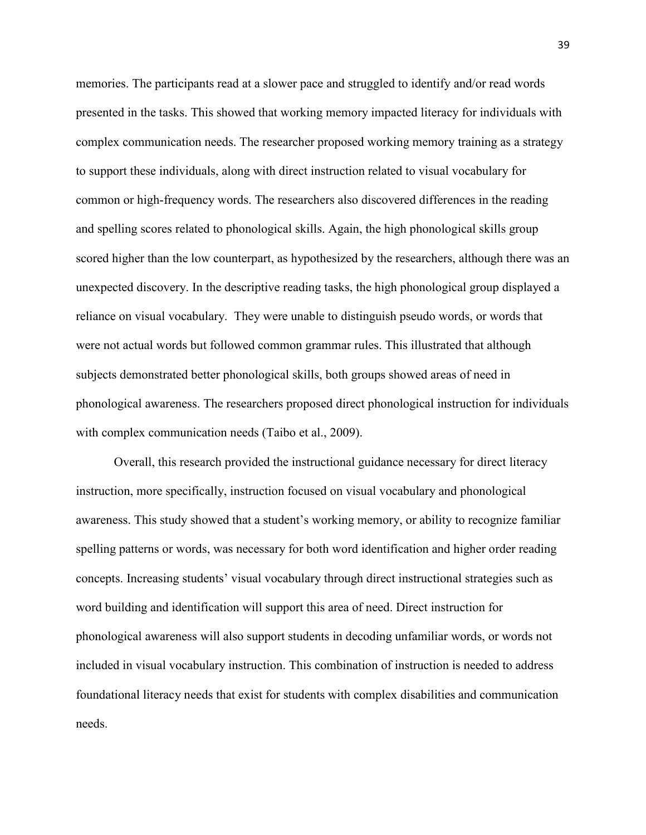memories. The participants read at a slower pace and struggled to identify and/or read words presented in the tasks. This showed that working memory impacted literacy for individuals with complex communication needs. The researcher proposed working memory training as a strategy to support these individuals, along with direct instruction related to visual vocabulary for common or high-frequency words. The researchers also discovered differences in the reading and spelling scores related to phonological skills. Again, the high phonological skills group scored higher than the low counterpart, as hypothesized by the researchers, although there was an unexpected discovery. In the descriptive reading tasks, the high phonological group displayed a reliance on visual vocabulary. They were unable to distinguish pseudo words, or words that were not actual words but followed common grammar rules. This illustrated that although subjects demonstrated better phonological skills, both groups showed areas of need in phonological awareness. The researchers proposed direct phonological instruction for individuals with complex communication needs (Taibo et al., 2009).

Overall, this research provided the instructional guidance necessary for direct literacy instruction, more specifically, instruction focused on visual vocabulary and phonological awareness. This study showed that a student's working memory, or ability to recognize familiar spelling patterns or words, was necessary for both word identification and higher order reading concepts. Increasing students' visual vocabulary through direct instructional strategies such as word building and identification will support this area of need. Direct instruction for phonological awareness will also support students in decoding unfamiliar words, or words not included in visual vocabulary instruction. This combination of instruction is needed to address foundational literacy needs that exist for students with complex disabilities and communication needs.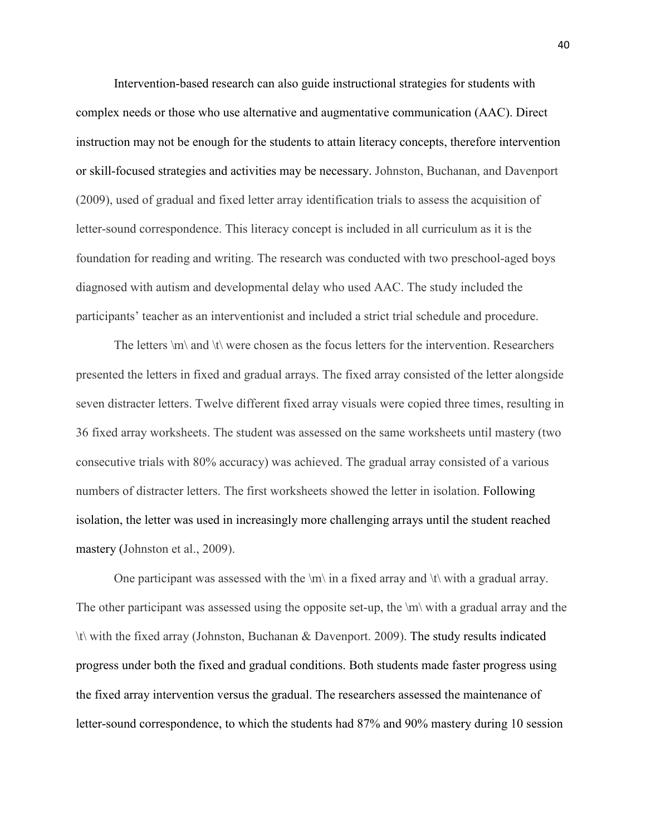Intervention-based research can also guide instructional strategies for students with complex needs or those who use alternative and augmentative communication (AAC). Direct instruction may not be enough for the students to attain literacy concepts, therefore intervention or skill-focused strategies and activities may be necessary. Johnston, Buchanan, and Davenport (2009), used of gradual and fixed letter array identification trials to assess the acquisition of letter-sound correspondence. This literacy concept is included in all curriculum as it is the foundation for reading and writing. The research was conducted with two preschool-aged boys diagnosed with autism and developmental delay who used AAC. The study included the participants' teacher as an interventionist and included a strict trial schedule and procedure.

The letters \m\ and \t\ were chosen as the focus letters for the intervention. Researchers presented the letters in fixed and gradual arrays. The fixed array consisted of the letter alongside seven distracter letters. Twelve different fixed array visuals were copied three times, resulting in 36 fixed array worksheets. The student was assessed on the same worksheets until mastery (two consecutive trials with 80% accuracy) was achieved. The gradual array consisted of a various numbers of distracter letters. The first worksheets showed the letter in isolation. Following isolation, the letter was used in increasingly more challenging arrays until the student reached mastery (Johnston et al., 2009).

One participant was assessed with the  $\mathbb{m}$  in a fixed array and  $\mathbb{t}$  with a gradual array. The other participant was assessed using the opposite set-up, the  $\mathbb{R}$  with a gradual array and the \t\ with the fixed array (Johnston, Buchanan & Davenport. 2009). The study results indicated progress under both the fixed and gradual conditions. Both students made faster progress using the fixed array intervention versus the gradual. The researchers assessed the maintenance of letter-sound correspondence, to which the students had 87% and 90% mastery during 10 session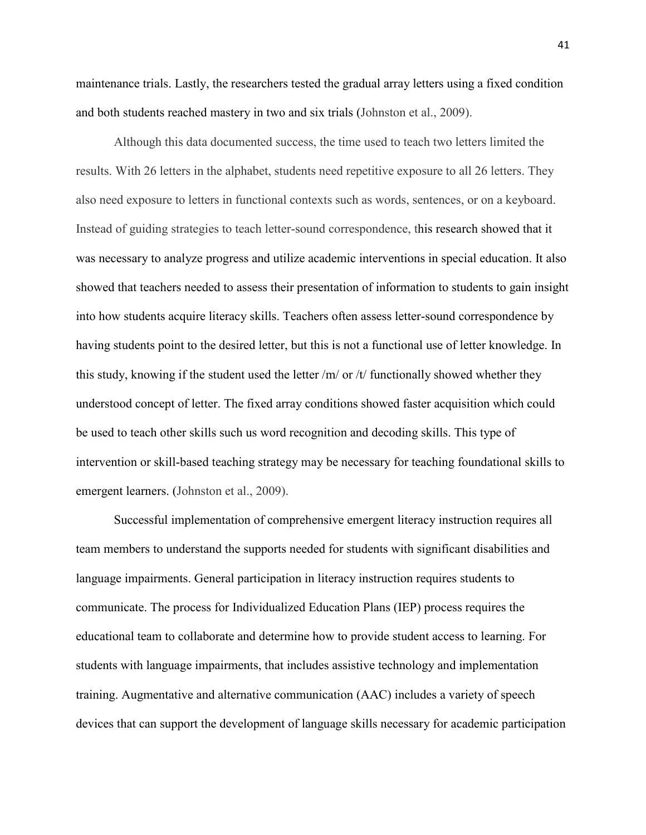maintenance trials. Lastly, the researchers tested the gradual array letters using a fixed condition and both students reached mastery in two and six trials (Johnston et al., 2009).

Although this data documented success, the time used to teach two letters limited the results. With 26 letters in the alphabet, students need repetitive exposure to all 26 letters. They also need exposure to letters in functional contexts such as words, sentences, or on a keyboard. Instead of guiding strategies to teach letter-sound correspondence, this research showed that it was necessary to analyze progress and utilize academic interventions in special education. It also showed that teachers needed to assess their presentation of information to students to gain insight into how students acquire literacy skills. Teachers often assess letter-sound correspondence by having students point to the desired letter, but this is not a functional use of letter knowledge. In this study, knowing if the student used the letter  $/m/$  or  $/t/$  functionally showed whether they understood concept of letter. The fixed array conditions showed faster acquisition which could be used to teach other skills such us word recognition and decoding skills. This type of intervention or skill-based teaching strategy may be necessary for teaching foundational skills to emergent learners. (Johnston et al., 2009).

Successful implementation of comprehensive emergent literacy instruction requires all team members to understand the supports needed for students with significant disabilities and language impairments. General participation in literacy instruction requires students to communicate. The process for Individualized Education Plans (IEP) process requires the educational team to collaborate and determine how to provide student access to learning. For students with language impairments, that includes assistive technology and implementation training. Augmentative and alternative communication (AAC) includes a variety of speech devices that can support the development of language skills necessary for academic participation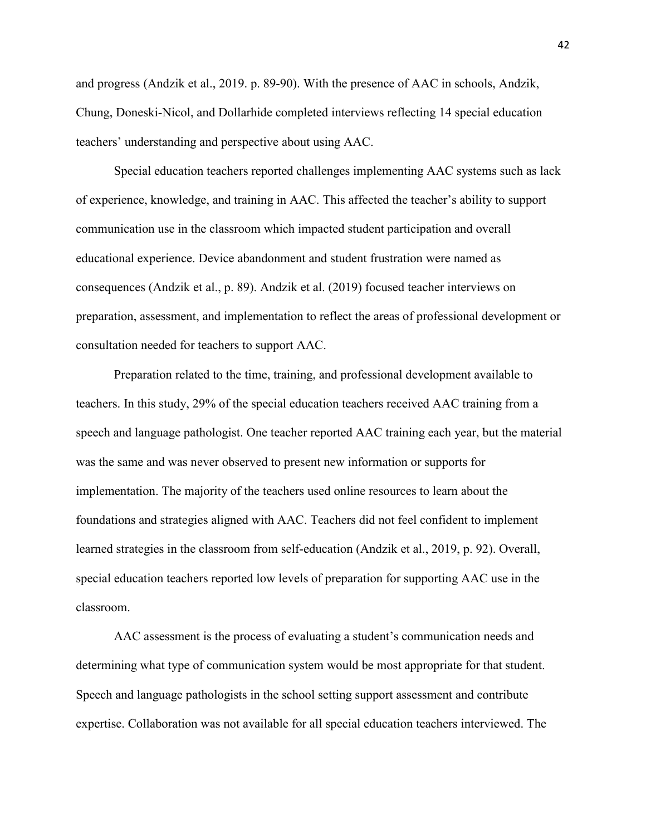and progress (Andzik et al., 2019. p. 89-90). With the presence of AAC in schools, Andzik, Chung, Doneski-Nicol, and Dollarhide completed interviews reflecting 14 special education teachers' understanding and perspective about using AAC.

Special education teachers reported challenges implementing AAC systems such as lack of experience, knowledge, and training in AAC. This affected the teacher's ability to support communication use in the classroom which impacted student participation and overall educational experience. Device abandonment and student frustration were named as consequences (Andzik et al., p. 89). Andzik et al. (2019) focused teacher interviews on preparation, assessment, and implementation to reflect the areas of professional development or consultation needed for teachers to support AAC.

Preparation related to the time, training, and professional development available to teachers. In this study, 29% of the special education teachers received AAC training from a speech and language pathologist. One teacher reported AAC training each year, but the material was the same and was never observed to present new information or supports for implementation. The majority of the teachers used online resources to learn about the foundations and strategies aligned with AAC. Teachers did not feel confident to implement learned strategies in the classroom from self-education (Andzik et al., 2019, p. 92). Overall, special education teachers reported low levels of preparation for supporting AAC use in the classroom.

AAC assessment is the process of evaluating a student's communication needs and determining what type of communication system would be most appropriate for that student. Speech and language pathologists in the school setting support assessment and contribute expertise. Collaboration was not available for all special education teachers interviewed. The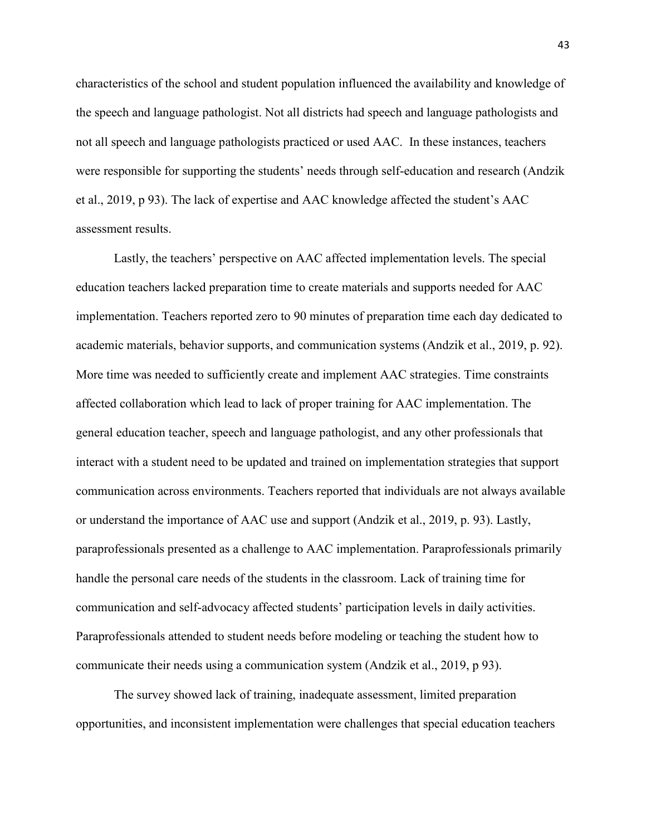characteristics of the school and student population influenced the availability and knowledge of the speech and language pathologist. Not all districts had speech and language pathologists and not all speech and language pathologists practiced or used AAC. In these instances, teachers were responsible for supporting the students' needs through self-education and research (Andzik et al., 2019, p 93). The lack of expertise and AAC knowledge affected the student's AAC assessment results.

Lastly, the teachers' perspective on AAC affected implementation levels. The special education teachers lacked preparation time to create materials and supports needed for AAC implementation. Teachers reported zero to 90 minutes of preparation time each day dedicated to academic materials, behavior supports, and communication systems (Andzik et al., 2019, p. 92). More time was needed to sufficiently create and implement AAC strategies. Time constraints affected collaboration which lead to lack of proper training for AAC implementation. The general education teacher, speech and language pathologist, and any other professionals that interact with a student need to be updated and trained on implementation strategies that support communication across environments. Teachers reported that individuals are not always available or understand the importance of AAC use and support (Andzik et al., 2019, p. 93). Lastly, paraprofessionals presented as a challenge to AAC implementation. Paraprofessionals primarily handle the personal care needs of the students in the classroom. Lack of training time for communication and self-advocacy affected students' participation levels in daily activities. Paraprofessionals attended to student needs before modeling or teaching the student how to communicate their needs using a communication system (Andzik et al., 2019, p 93).

The survey showed lack of training, inadequate assessment, limited preparation opportunities, and inconsistent implementation were challenges that special education teachers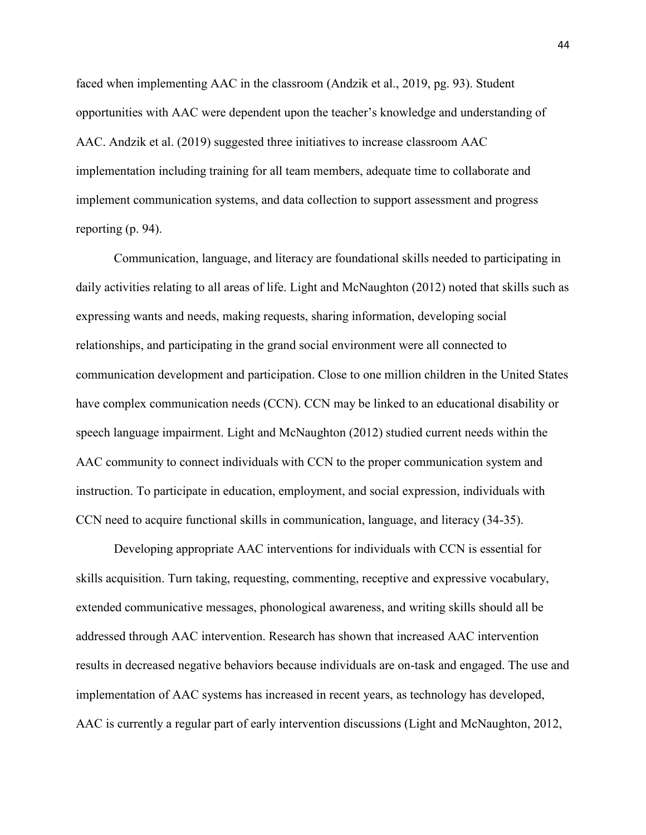faced when implementing AAC in the classroom (Andzik et al., 2019, pg. 93). Student opportunities with AAC were dependent upon the teacher's knowledge and understanding of AAC. Andzik et al. (2019) suggested three initiatives to increase classroom AAC implementation including training for all team members, adequate time to collaborate and implement communication systems, and data collection to support assessment and progress reporting (p. 94).

Communication, language, and literacy are foundational skills needed to participating in daily activities relating to all areas of life. Light and McNaughton (2012) noted that skills such as expressing wants and needs, making requests, sharing information, developing social relationships, and participating in the grand social environment were all connected to communication development and participation. Close to one million children in the United States have complex communication needs (CCN). CCN may be linked to an educational disability or speech language impairment. Light and McNaughton (2012) studied current needs within the AAC community to connect individuals with CCN to the proper communication system and instruction. To participate in education, employment, and social expression, individuals with CCN need to acquire functional skills in communication, language, and literacy (34-35).

Developing appropriate AAC interventions for individuals with CCN is essential for skills acquisition. Turn taking, requesting, commenting, receptive and expressive vocabulary, extended communicative messages, phonological awareness, and writing skills should all be addressed through AAC intervention. Research has shown that increased AAC intervention results in decreased negative behaviors because individuals are on-task and engaged. The use and implementation of AAC systems has increased in recent years, as technology has developed, AAC is currently a regular part of early intervention discussions (Light and McNaughton, 2012,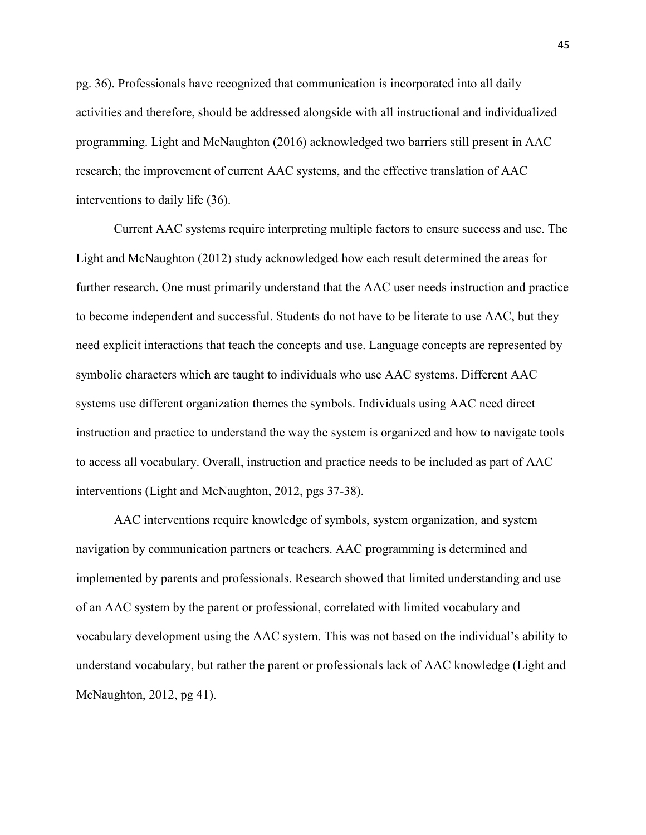pg. 36). Professionals have recognized that communication is incorporated into all daily activities and therefore, should be addressed alongside with all instructional and individualized programming. Light and McNaughton (2016) acknowledged two barriers still present in AAC research; the improvement of current AAC systems, and the effective translation of AAC interventions to daily life (36).

Current AAC systems require interpreting multiple factors to ensure success and use. The Light and McNaughton (2012) study acknowledged how each result determined the areas for further research. One must primarily understand that the AAC user needs instruction and practice to become independent and successful. Students do not have to be literate to use AAC, but they need explicit interactions that teach the concepts and use. Language concepts are represented by symbolic characters which are taught to individuals who use AAC systems. Different AAC systems use different organization themes the symbols. Individuals using AAC need direct instruction and practice to understand the way the system is organized and how to navigate tools to access all vocabulary. Overall, instruction and practice needs to be included as part of AAC interventions (Light and McNaughton, 2012, pgs 37-38).

 AAC interventions require knowledge of symbols, system organization, and system navigation by communication partners or teachers. AAC programming is determined and implemented by parents and professionals. Research showed that limited understanding and use of an AAC system by the parent or professional, correlated with limited vocabulary and vocabulary development using the AAC system. This was not based on the individual's ability to understand vocabulary, but rather the parent or professionals lack of AAC knowledge (Light and McNaughton, 2012, pg 41).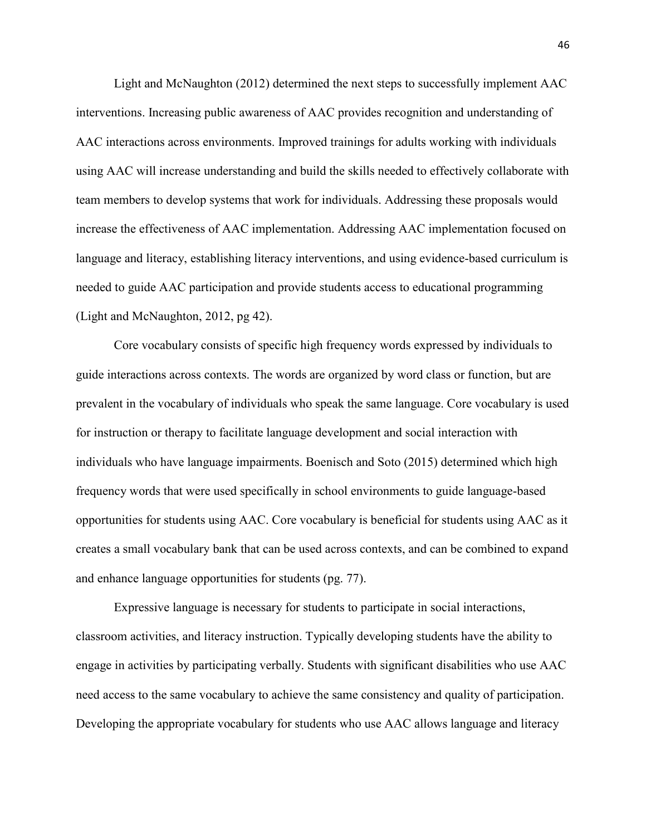Light and McNaughton (2012) determined the next steps to successfully implement AAC interventions. Increasing public awareness of AAC provides recognition and understanding of AAC interactions across environments. Improved trainings for adults working with individuals using AAC will increase understanding and build the skills needed to effectively collaborate with team members to develop systems that work for individuals. Addressing these proposals would increase the effectiveness of AAC implementation. Addressing AAC implementation focused on language and literacy, establishing literacy interventions, and using evidence-based curriculum is needed to guide AAC participation and provide students access to educational programming (Light and McNaughton, 2012, pg 42).

Core vocabulary consists of specific high frequency words expressed by individuals to guide interactions across contexts. The words are organized by word class or function, but are prevalent in the vocabulary of individuals who speak the same language. Core vocabulary is used for instruction or therapy to facilitate language development and social interaction with individuals who have language impairments. Boenisch and Soto (2015) determined which high frequency words that were used specifically in school environments to guide language-based opportunities for students using AAC. Core vocabulary is beneficial for students using AAC as it creates a small vocabulary bank that can be used across contexts, and can be combined to expand and enhance language opportunities for students (pg. 77).

 Expressive language is necessary for students to participate in social interactions, classroom activities, and literacy instruction. Typically developing students have the ability to engage in activities by participating verbally. Students with significant disabilities who use AAC need access to the same vocabulary to achieve the same consistency and quality of participation. Developing the appropriate vocabulary for students who use AAC allows language and literacy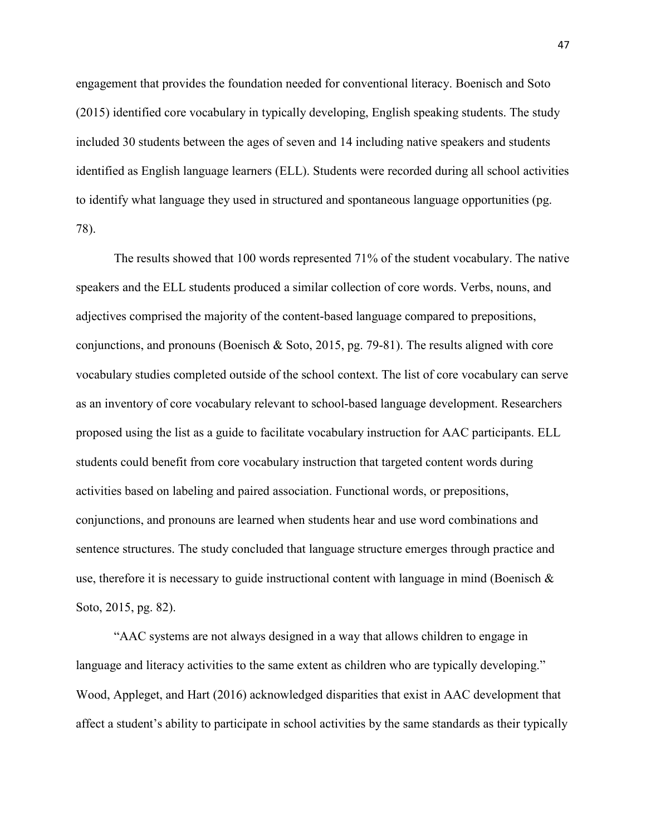engagement that provides the foundation needed for conventional literacy. Boenisch and Soto (2015) identified core vocabulary in typically developing, English speaking students. The study included 30 students between the ages of seven and 14 including native speakers and students identified as English language learners (ELL). Students were recorded during all school activities to identify what language they used in structured and spontaneous language opportunities (pg. 78).

 The results showed that 100 words represented 71% of the student vocabulary. The native speakers and the ELL students produced a similar collection of core words. Verbs, nouns, and adjectives comprised the majority of the content-based language compared to prepositions, conjunctions, and pronouns (Boenisch & Soto, 2015, pg. 79-81). The results aligned with core vocabulary studies completed outside of the school context. The list of core vocabulary can serve as an inventory of core vocabulary relevant to school-based language development. Researchers proposed using the list as a guide to facilitate vocabulary instruction for AAC participants. ELL students could benefit from core vocabulary instruction that targeted content words during activities based on labeling and paired association. Functional words, or prepositions, conjunctions, and pronouns are learned when students hear and use word combinations and sentence structures. The study concluded that language structure emerges through practice and use, therefore it is necessary to guide instructional content with language in mind (Boenisch  $\&$ Soto, 2015, pg. 82).

"AAC systems are not always designed in a way that allows children to engage in language and literacy activities to the same extent as children who are typically developing." Wood, Appleget, and Hart (2016) acknowledged disparities that exist in AAC development that affect a student's ability to participate in school activities by the same standards as their typically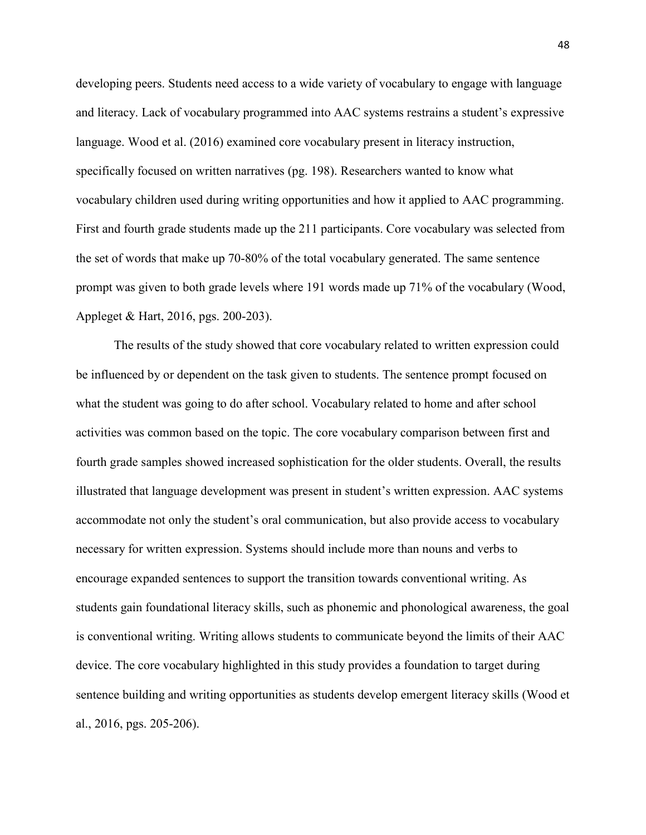developing peers. Students need access to a wide variety of vocabulary to engage with language and literacy. Lack of vocabulary programmed into AAC systems restrains a student's expressive language. Wood et al. (2016) examined core vocabulary present in literacy instruction, specifically focused on written narratives (pg. 198). Researchers wanted to know what vocabulary children used during writing opportunities and how it applied to AAC programming. First and fourth grade students made up the 211 participants. Core vocabulary was selected from the set of words that make up 70-80% of the total vocabulary generated. The same sentence prompt was given to both grade levels where 191 words made up 71% of the vocabulary (Wood, Appleget & Hart, 2016, pgs. 200-203).

 The results of the study showed that core vocabulary related to written expression could be influenced by or dependent on the task given to students. The sentence prompt focused on what the student was going to do after school. Vocabulary related to home and after school activities was common based on the topic. The core vocabulary comparison between first and fourth grade samples showed increased sophistication for the older students. Overall, the results illustrated that language development was present in student's written expression. AAC systems accommodate not only the student's oral communication, but also provide access to vocabulary necessary for written expression. Systems should include more than nouns and verbs to encourage expanded sentences to support the transition towards conventional writing. As students gain foundational literacy skills, such as phonemic and phonological awareness, the goal is conventional writing. Writing allows students to communicate beyond the limits of their AAC device. The core vocabulary highlighted in this study provides a foundation to target during sentence building and writing opportunities as students develop emergent literacy skills (Wood et al., 2016, pgs. 205-206).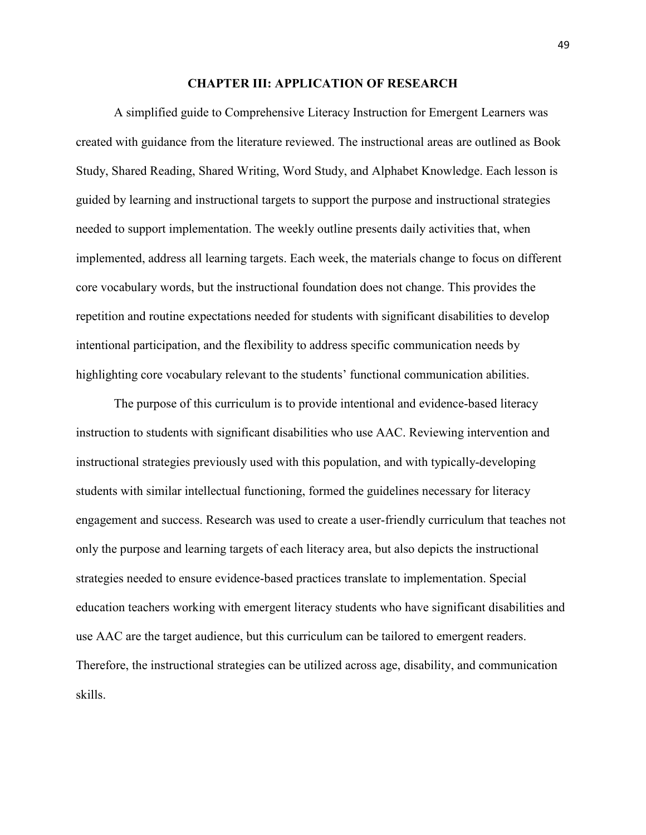#### **CHAPTER III: APPLICATION OF RESEARCH**

A simplified guide to Comprehensive Literacy Instruction for Emergent Learners was created with guidance from the literature reviewed. The instructional areas are outlined as Book Study, Shared Reading, Shared Writing, Word Study, and Alphabet Knowledge. Each lesson is guided by learning and instructional targets to support the purpose and instructional strategies needed to support implementation. The weekly outline presents daily activities that, when implemented, address all learning targets. Each week, the materials change to focus on different core vocabulary words, but the instructional foundation does not change. This provides the repetition and routine expectations needed for students with significant disabilities to develop intentional participation, and the flexibility to address specific communication needs by highlighting core vocabulary relevant to the students' functional communication abilities.

The purpose of this curriculum is to provide intentional and evidence-based literacy instruction to students with significant disabilities who use AAC. Reviewing intervention and instructional strategies previously used with this population, and with typically-developing students with similar intellectual functioning, formed the guidelines necessary for literacy engagement and success. Research was used to create a user-friendly curriculum that teaches not only the purpose and learning targets of each literacy area, but also depicts the instructional strategies needed to ensure evidence-based practices translate to implementation. Special education teachers working with emergent literacy students who have significant disabilities and use AAC are the target audience, but this curriculum can be tailored to emergent readers. Therefore, the instructional strategies can be utilized across age, disability, and communication skills.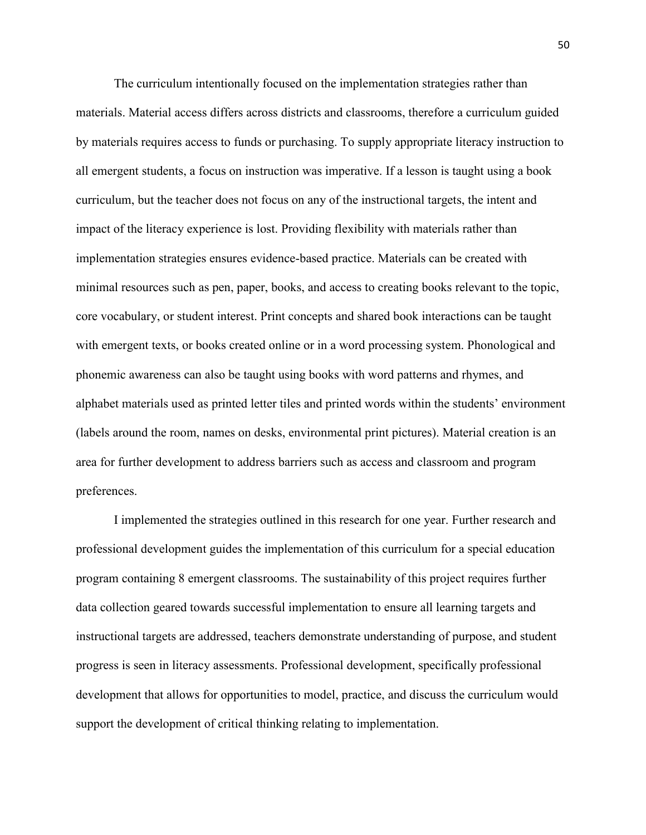The curriculum intentionally focused on the implementation strategies rather than materials. Material access differs across districts and classrooms, therefore a curriculum guided by materials requires access to funds or purchasing. To supply appropriate literacy instruction to all emergent students, a focus on instruction was imperative. If a lesson is taught using a book curriculum, but the teacher does not focus on any of the instructional targets, the intent and impact of the literacy experience is lost. Providing flexibility with materials rather than implementation strategies ensures evidence-based practice. Materials can be created with minimal resources such as pen, paper, books, and access to creating books relevant to the topic, core vocabulary, or student interest. Print concepts and shared book interactions can be taught with emergent texts, or books created online or in a word processing system. Phonological and phonemic awareness can also be taught using books with word patterns and rhymes, and alphabet materials used as printed letter tiles and printed words within the students' environment (labels around the room, names on desks, environmental print pictures). Material creation is an area for further development to address barriers such as access and classroom and program preferences.

I implemented the strategies outlined in this research for one year. Further research and professional development guides the implementation of this curriculum for a special education program containing 8 emergent classrooms. The sustainability of this project requires further data collection geared towards successful implementation to ensure all learning targets and instructional targets are addressed, teachers demonstrate understanding of purpose, and student progress is seen in literacy assessments. Professional development, specifically professional development that allows for opportunities to model, practice, and discuss the curriculum would support the development of critical thinking relating to implementation.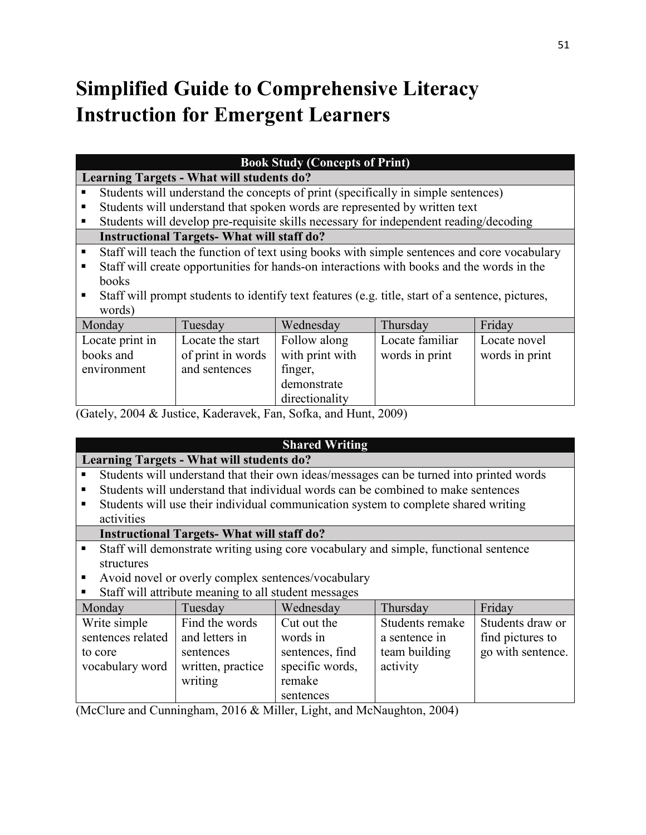## **Simplified Guide to Comprehensive Literacy Instruction for Emergent Learners**

| <b>Book Study (Concepts of Print)</b>                                                                 |                                                                                           |                                                                                             |                 |                 |                |
|-------------------------------------------------------------------------------------------------------|-------------------------------------------------------------------------------------------|---------------------------------------------------------------------------------------------|-----------------|-----------------|----------------|
|                                                                                                       |                                                                                           | <b>Learning Targets - What will students do?</b>                                            |                 |                 |                |
|                                                                                                       | Students will understand the concepts of print (specifically in simple sentences)         |                                                                                             |                 |                 |                |
| ٠                                                                                                     |                                                                                           | Students will understand that spoken words are represented by written text                  |                 |                 |                |
| ٠                                                                                                     |                                                                                           | Students will develop pre-requisite skills necessary for independent reading/decoding       |                 |                 |                |
|                                                                                                       |                                                                                           | <b>Instructional Targets-What will staff do?</b>                                            |                 |                 |                |
| $\blacksquare$                                                                                        |                                                                                           | Staff will teach the function of text using books with simple sentences and core vocabulary |                 |                 |                |
| ٠                                                                                                     | Staff will create opportunities for hands-on interactions with books and the words in the |                                                                                             |                 |                 |                |
|                                                                                                       | books                                                                                     |                                                                                             |                 |                 |                |
| Staff will prompt students to identify text features (e.g. title, start of a sentence, pictures,<br>ш |                                                                                           |                                                                                             |                 |                 |                |
| words)                                                                                                |                                                                                           |                                                                                             |                 |                 |                |
|                                                                                                       | Monday                                                                                    | Tuesday                                                                                     | Wednesday       | Thursday        | Friday         |
|                                                                                                       | Locate print in                                                                           | Locate the start                                                                            | Follow along    | Locate familiar | Locate novel   |
|                                                                                                       | books and                                                                                 | of print in words                                                                           | with print with | words in print  | words in print |
|                                                                                                       | environment                                                                               | and sentences                                                                               | finger,         |                 |                |
|                                                                                                       |                                                                                           |                                                                                             | demonstrate     |                 |                |

(Gately, 2004 & Justice, Kaderavek, Fan, Sofka, and Hunt, 2009)

## **Shared Writing**

## **Learning Targets - What will students do?**

Students will understand that their own ideas/messages can be turned into printed words

directionality

- Students will understand that individual words can be combined to make sentences
- Students will use their individual communication system to complete shared writing activities

## **Instructional Targets- What will staff do?**

- Staff will demonstrate writing using core vocabulary and simple, functional sentence structures
- Avoid novel or overly complex sentences/vocabulary
- Staff will attribute meaning to all student messages

| Monday                     | Tuesday                        | Wednesday                          | Thursday                  | Friday            |
|----------------------------|--------------------------------|------------------------------------|---------------------------|-------------------|
| Write simple               | Find the words                 | Cut out the                        | Students remake           | Students draw or  |
| sentences related          | and letters in                 | words in                           | a sentence in             | find pictures to  |
| to core<br>vocabulary word | sentences<br>written, practice | sentences, find<br>specific words, | team building<br>activity | go with sentence. |
|                            | writing                        | remake                             |                           |                   |
|                            |                                | sentences                          |                           |                   |

(McClure and Cunningham, 2016 & Miller, Light, and McNaughton, 2004)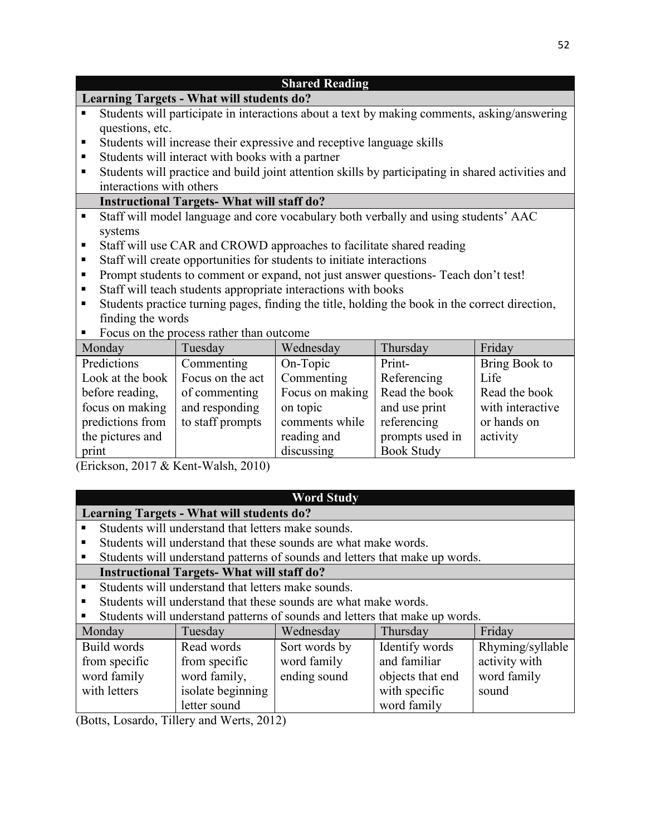| <b>Shared Reading</b>                                                                               |                                                                                                   |                 |               |                  |  |
|-----------------------------------------------------------------------------------------------------|---------------------------------------------------------------------------------------------------|-----------------|---------------|------------------|--|
|                                                                                                     | <b>Learning Targets - What will students do?</b>                                                  |                 |               |                  |  |
| п                                                                                                   | Students will participate in interactions about a text by making comments, asking/answering       |                 |               |                  |  |
| questions, etc.                                                                                     |                                                                                                   |                 |               |                  |  |
| п                                                                                                   | Students will increase their expressive and receptive language skills                             |                 |               |                  |  |
| п                                                                                                   | Students will interact with books with a partner                                                  |                 |               |                  |  |
| п                                                                                                   | Students will practice and build joint attention skills by participating in shared activities and |                 |               |                  |  |
| interactions with others                                                                            |                                                                                                   |                 |               |                  |  |
|                                                                                                     | <b>Instructional Targets-What will staff do?</b>                                                  |                 |               |                  |  |
| ٠                                                                                                   | Staff will model language and core vocabulary both verbally and using students' AAC               |                 |               |                  |  |
| systems                                                                                             |                                                                                                   |                 |               |                  |  |
| п                                                                                                   | Staff will use CAR and CROWD approaches to facilitate shared reading                              |                 |               |                  |  |
| Staff will create opportunities for students to initiate interactions<br>п                          |                                                                                                   |                 |               |                  |  |
| п                                                                                                   | Prompt students to comment or expand, not just answer questions- Teach don't test!                |                 |               |                  |  |
| Staff will teach students appropriate interactions with books<br>п                                  |                                                                                                   |                 |               |                  |  |
| Students practice turning pages, finding the title, holding the book in the correct direction,<br>п |                                                                                                   |                 |               |                  |  |
| finding the words                                                                                   |                                                                                                   |                 |               |                  |  |
| Focus on the process rather than outcome<br>Е                                                       |                                                                                                   |                 |               |                  |  |
| Monday                                                                                              | Tuesday                                                                                           | Wednesday       | Thursday      | Friday           |  |
| Predictions                                                                                         | Commenting                                                                                        | On-Topic        | Print-        | Bring Book to    |  |
| Look at the book                                                                                    | Focus on the act                                                                                  | Commenting      | Referencing   | Life             |  |
| before reading,                                                                                     | of commenting                                                                                     | Focus on making | Read the book | Read the book    |  |
| focus on making                                                                                     | and responding                                                                                    | on topic        | and use print | with interactive |  |
| predictions from                                                                                    | to staff prompts                                                                                  | comments while  | referencing   | or hands on      |  |

(Erickson, 2017 & Kent-Walsh, 2010)

the pictures and

print

## **Word Study**

prompts used in Book Study

activity

reading and discussing

## **Learning Targets - What will students do?**

- Students will understand that letters make sounds.
- Students will understand that these sounds are what make words.
- Students will understand patterns of sounds and letters that make up words.

## **Instructional Targets- What will staff do?**

- **Students will understand that letters make sounds.**
- Students will understand that these sounds are what make words.
- Students will understand patterns of sounds and letters that make up words.

| Monday        | Tuesday           | Wednesday     | Thursday         | Friday           |
|---------------|-------------------|---------------|------------------|------------------|
| Build words   | Read words        | Sort words by | Identify words   | Rhyming/syllable |
| from specific | from specific     | word family   | and familiar     | activity with    |
| word family   | word family,      | ending sound  | objects that end | word family      |
| with letters  | isolate beginning |               | with specific    | sound            |
|               | letter sound      |               | word family      |                  |

(Botts, Losardo, Tillery and Werts, 2012)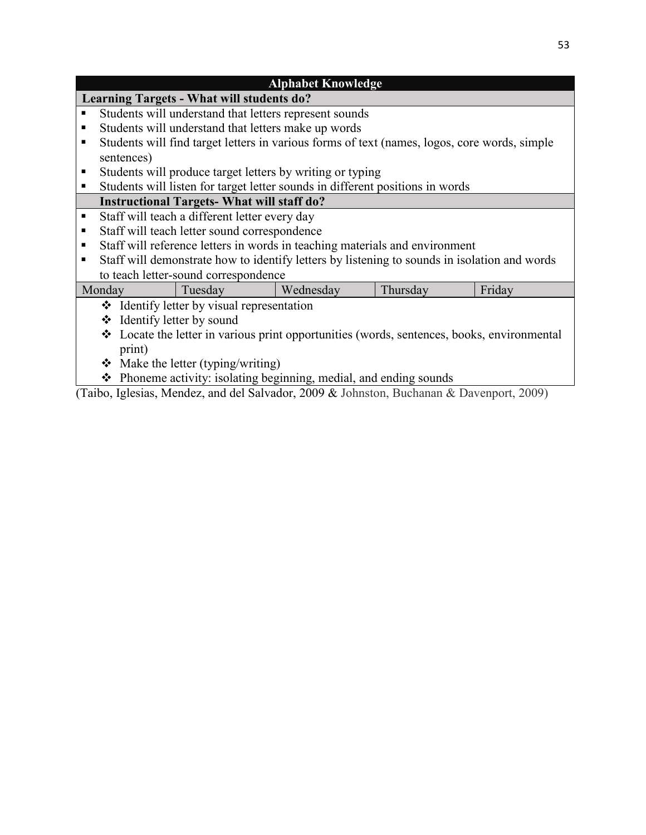|                                                                                            | <b>Alphabet Knowledge</b>                                                                |                                                  |                                                                                              |          |        |
|--------------------------------------------------------------------------------------------|------------------------------------------------------------------------------------------|--------------------------------------------------|----------------------------------------------------------------------------------------------|----------|--------|
|                                                                                            |                                                                                          | <b>Learning Targets - What will students do?</b> |                                                                                              |          |        |
| ٠                                                                                          |                                                                                          |                                                  | Students will understand that letters represent sounds                                       |          |        |
| ٠                                                                                          |                                                                                          |                                                  | Students will understand that letters make up words                                          |          |        |
| ٠                                                                                          |                                                                                          |                                                  | Students will find target letters in various forms of text (names, logos, core words, simple |          |        |
|                                                                                            | sentences)                                                                               |                                                  |                                                                                              |          |        |
| ш                                                                                          |                                                                                          |                                                  | Students will produce target letters by writing or typing                                    |          |        |
| ٠                                                                                          |                                                                                          |                                                  | Students will listen for target letter sounds in different positions in words                |          |        |
|                                                                                            |                                                                                          | <b>Instructional Targets-What will staff do?</b> |                                                                                              |          |        |
| $\blacksquare$                                                                             |                                                                                          | Staff will teach a different letter every day    |                                                                                              |          |        |
| ٠                                                                                          |                                                                                          | Staff will teach letter sound correspondence     |                                                                                              |          |        |
| п                                                                                          |                                                                                          |                                                  | Staff will reference letters in words in teaching materials and environment                  |          |        |
| ٠                                                                                          |                                                                                          |                                                  | Staff will demonstrate how to identify letters by listening to sounds in isolation and words |          |        |
|                                                                                            |                                                                                          | to teach letter-sound correspondence             |                                                                                              |          |        |
|                                                                                            | Monday                                                                                   | Tuesday                                          | Wednesday                                                                                    | Thursday | Friday |
|                                                                                            | ❖ Identify letter by visual representation                                               |                                                  |                                                                                              |          |        |
|                                                                                            | ❖ Identify letter by sound                                                               |                                                  |                                                                                              |          |        |
| ❖ Locate the letter in various print opportunities (words, sentences, books, environmental |                                                                                          |                                                  |                                                                                              |          |        |
|                                                                                            | print)                                                                                   |                                                  |                                                                                              |          |        |
|                                                                                            | $\triangleleft$ Make the letter (typing/writing)                                         |                                                  |                                                                                              |          |        |
|                                                                                            | $\triangle$ Phoneme activity: isolating beginning, medial, and ending sounds             |                                                  |                                                                                              |          |        |
|                                                                                            | (Taibo, Iglesias, Mendez, and del Salvador, 2009 & Johnston, Buchanan & Davenport, 2009) |                                                  |                                                                                              |          |        |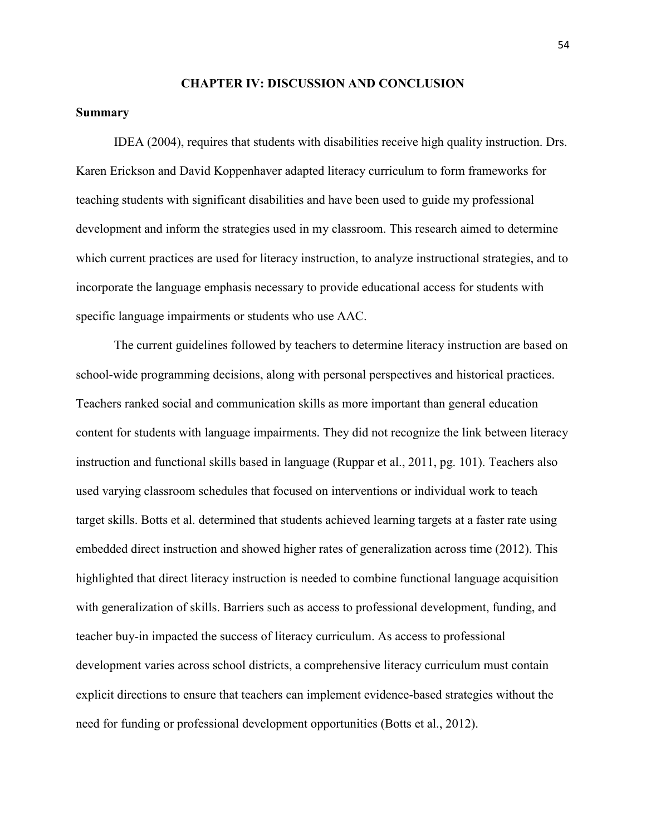#### **CHAPTER IV: DISCUSSION AND CONCLUSION**

#### **Summary**

 IDEA (2004), requires that students with disabilities receive high quality instruction. Drs. Karen Erickson and David Koppenhaver adapted literacy curriculum to form frameworks for teaching students with significant disabilities and have been used to guide my professional development and inform the strategies used in my classroom. This research aimed to determine which current practices are used for literacy instruction, to analyze instructional strategies, and to incorporate the language emphasis necessary to provide educational access for students with specific language impairments or students who use AAC.

 The current guidelines followed by teachers to determine literacy instruction are based on school-wide programming decisions, along with personal perspectives and historical practices. Teachers ranked social and communication skills as more important than general education content for students with language impairments. They did not recognize the link between literacy instruction and functional skills based in language (Ruppar et al., 2011, pg. 101). Teachers also used varying classroom schedules that focused on interventions or individual work to teach target skills. Botts et al. determined that students achieved learning targets at a faster rate using embedded direct instruction and showed higher rates of generalization across time (2012). This highlighted that direct literacy instruction is needed to combine functional language acquisition with generalization of skills. Barriers such as access to professional development, funding, and teacher buy-in impacted the success of literacy curriculum. As access to professional development varies across school districts, a comprehensive literacy curriculum must contain explicit directions to ensure that teachers can implement evidence-based strategies without the need for funding or professional development opportunities (Botts et al., 2012).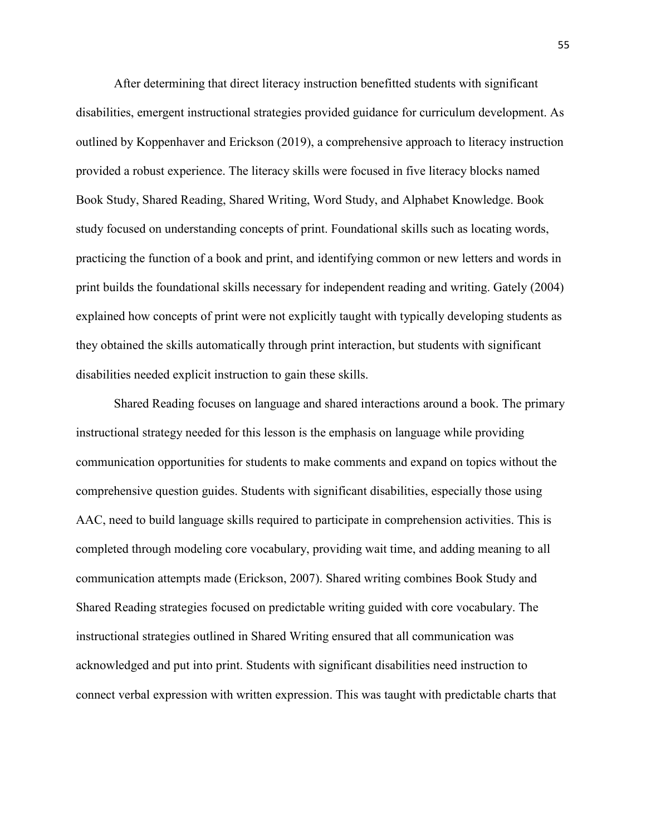After determining that direct literacy instruction benefitted students with significant disabilities, emergent instructional strategies provided guidance for curriculum development. As outlined by Koppenhaver and Erickson (2019), a comprehensive approach to literacy instruction provided a robust experience. The literacy skills were focused in five literacy blocks named Book Study, Shared Reading, Shared Writing, Word Study, and Alphabet Knowledge. Book study focused on understanding concepts of print. Foundational skills such as locating words, practicing the function of a book and print, and identifying common or new letters and words in print builds the foundational skills necessary for independent reading and writing. Gately (2004) explained how concepts of print were not explicitly taught with typically developing students as they obtained the skills automatically through print interaction, but students with significant disabilities needed explicit instruction to gain these skills.

 Shared Reading focuses on language and shared interactions around a book. The primary instructional strategy needed for this lesson is the emphasis on language while providing communication opportunities for students to make comments and expand on topics without the comprehensive question guides. Students with significant disabilities, especially those using AAC, need to build language skills required to participate in comprehension activities. This is completed through modeling core vocabulary, providing wait time, and adding meaning to all communication attempts made (Erickson, 2007). Shared writing combines Book Study and Shared Reading strategies focused on predictable writing guided with core vocabulary. The instructional strategies outlined in Shared Writing ensured that all communication was acknowledged and put into print. Students with significant disabilities need instruction to connect verbal expression with written expression. This was taught with predictable charts that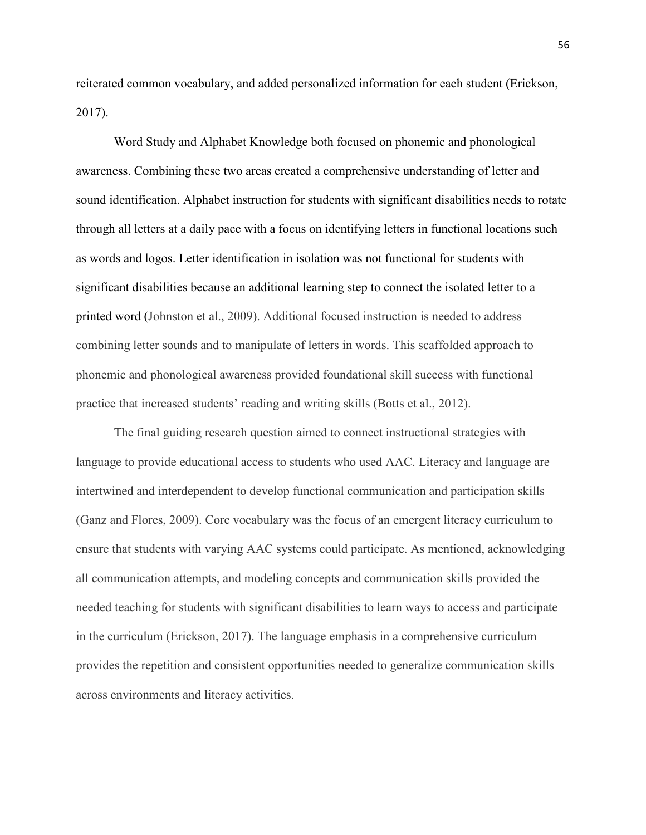reiterated common vocabulary, and added personalized information for each student (Erickson, 2017).

 Word Study and Alphabet Knowledge both focused on phonemic and phonological awareness. Combining these two areas created a comprehensive understanding of letter and sound identification. Alphabet instruction for students with significant disabilities needs to rotate through all letters at a daily pace with a focus on identifying letters in functional locations such as words and logos. Letter identification in isolation was not functional for students with significant disabilities because an additional learning step to connect the isolated letter to a printed word (Johnston et al., 2009). Additional focused instruction is needed to address combining letter sounds and to manipulate of letters in words. This scaffolded approach to phonemic and phonological awareness provided foundational skill success with functional practice that increased students' reading and writing skills (Botts et al., 2012).

 The final guiding research question aimed to connect instructional strategies with language to provide educational access to students who used AAC. Literacy and language are intertwined and interdependent to develop functional communication and participation skills (Ganz and Flores, 2009). Core vocabulary was the focus of an emergent literacy curriculum to ensure that students with varying AAC systems could participate. As mentioned, acknowledging all communication attempts, and modeling concepts and communication skills provided the needed teaching for students with significant disabilities to learn ways to access and participate in the curriculum (Erickson, 2017). The language emphasis in a comprehensive curriculum provides the repetition and consistent opportunities needed to generalize communication skills across environments and literacy activities.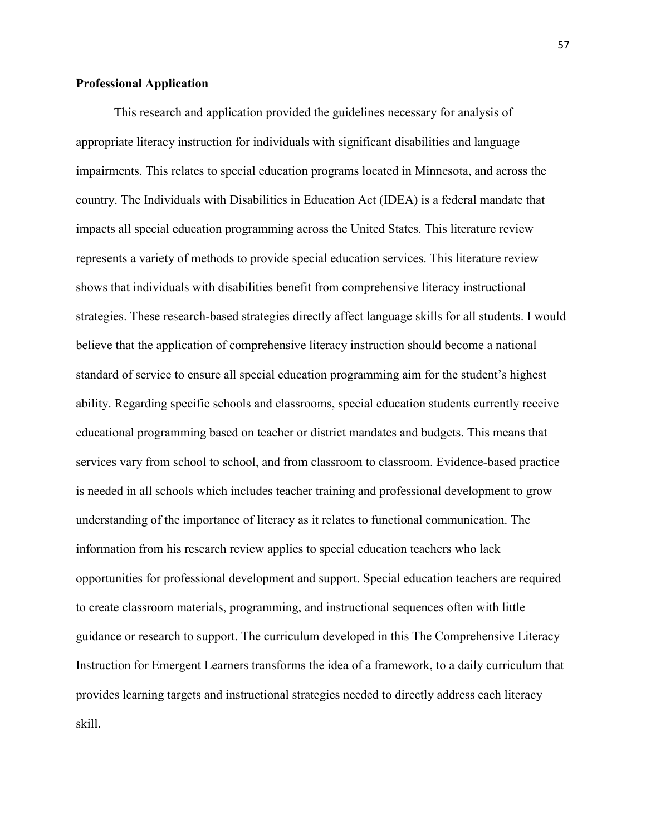#### **Professional Application**

This research and application provided the guidelines necessary for analysis of appropriate literacy instruction for individuals with significant disabilities and language impairments. This relates to special education programs located in Minnesota, and across the country. The Individuals with Disabilities in Education Act (IDEA) is a federal mandate that impacts all special education programming across the United States. This literature review represents a variety of methods to provide special education services. This literature review shows that individuals with disabilities benefit from comprehensive literacy instructional strategies. These research-based strategies directly affect language skills for all students. I would believe that the application of comprehensive literacy instruction should become a national standard of service to ensure all special education programming aim for the student's highest ability. Regarding specific schools and classrooms, special education students currently receive educational programming based on teacher or district mandates and budgets. This means that services vary from school to school, and from classroom to classroom. Evidence-based practice is needed in all schools which includes teacher training and professional development to grow understanding of the importance of literacy as it relates to functional communication. The information from his research review applies to special education teachers who lack opportunities for professional development and support. Special education teachers are required to create classroom materials, programming, and instructional sequences often with little guidance or research to support. The curriculum developed in this The Comprehensive Literacy Instruction for Emergent Learners transforms the idea of a framework, to a daily curriculum that provides learning targets and instructional strategies needed to directly address each literacy skill.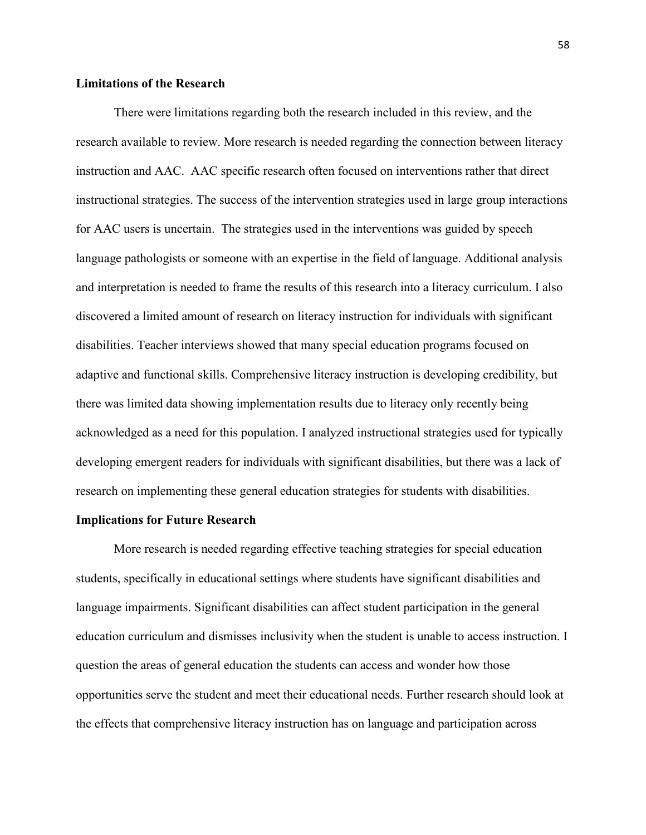#### **Limitations of the Research**

There were limitations regarding both the research included in this review, and the research available to review. More research is needed regarding the connection between literacy instruction and AAC. AAC specific research often focused on interventions rather that direct instructional strategies. The success of the intervention strategies used in large group interactions for AAC users is uncertain. The strategies used in the interventions was guided by speech language pathologists or someone with an expertise in the field of language. Additional analysis and interpretation is needed to frame the results of this research into a literacy curriculum. I also discovered a limited amount of research on literacy instruction for individuals with significant disabilities. Teacher interviews showed that many special education programs focused on adaptive and functional skills. Comprehensive literacy instruction is developing credibility, but there was limited data showing implementation results due to literacy only recently being acknowledged as a need for this population. I analyzed instructional strategies used for typically developing emergent readers for individuals with significant disabilities, but there was a lack of research on implementing these general education strategies for students with disabilities.

#### **Implications for Future Research**

More research is needed regarding effective teaching strategies for special education students, specifically in educational settings where students have significant disabilities and language impairments. Significant disabilities can affect student participation in the general education curriculum and dismisses inclusivity when the student is unable to access instruction. I question the areas of general education the students can access and wonder how those opportunities serve the student and meet their educational needs. Further research should look at the effects that comprehensive literacy instruction has on language and participation across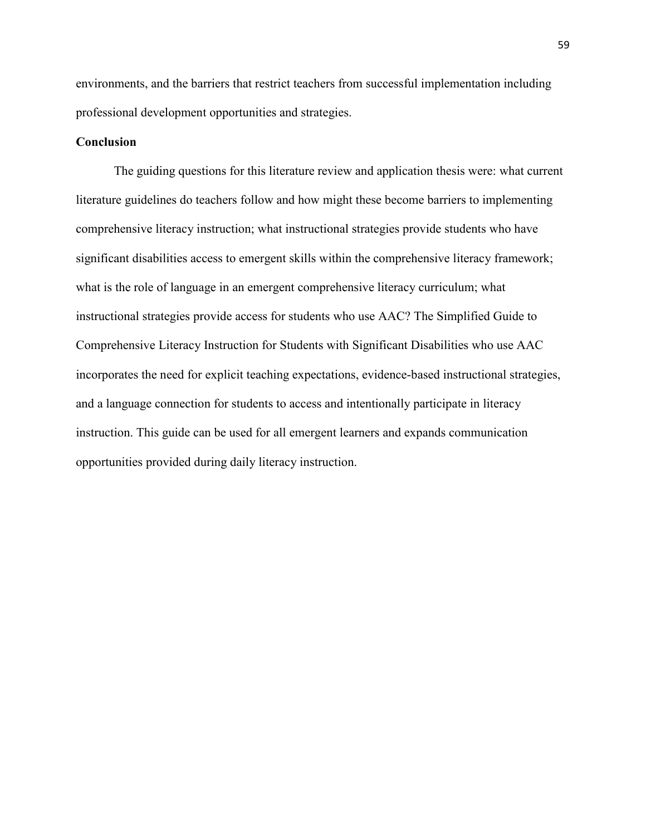environments, and the barriers that restrict teachers from successful implementation including professional development opportunities and strategies.

#### **Conclusion**

The guiding questions for this literature review and application thesis were: what current literature guidelines do teachers follow and how might these become barriers to implementing comprehensive literacy instruction; what instructional strategies provide students who have significant disabilities access to emergent skills within the comprehensive literacy framework; what is the role of language in an emergent comprehensive literacy curriculum; what instructional strategies provide access for students who use AAC? The Simplified Guide to Comprehensive Literacy Instruction for Students with Significant Disabilities who use AAC incorporates the need for explicit teaching expectations, evidence-based instructional strategies, and a language connection for students to access and intentionally participate in literacy instruction. This guide can be used for all emergent learners and expands communication opportunities provided during daily literacy instruction.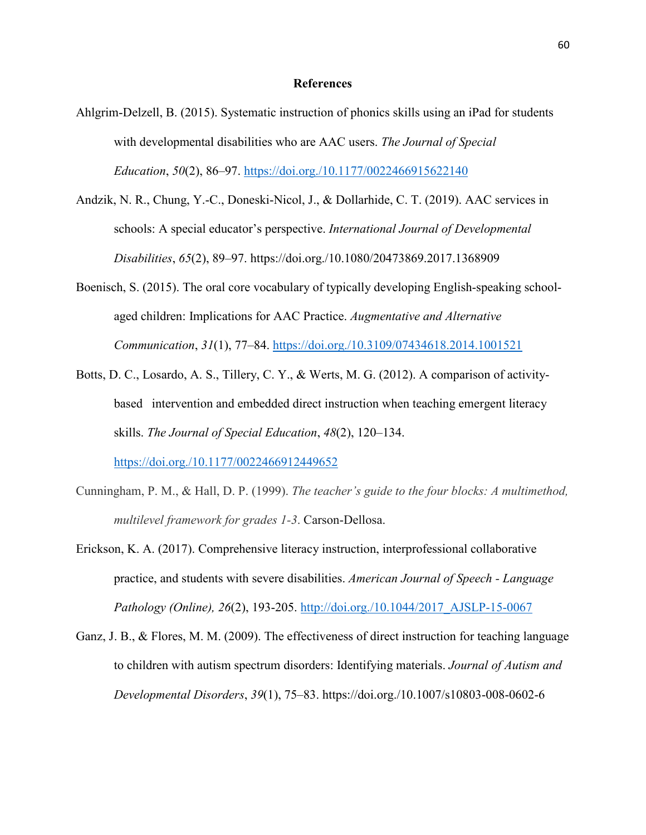#### **References**

- Ahlgrim-Delzell, B. (2015). Systematic instruction of phonics skills using an iPad for students with developmental disabilities who are AAC users. *The Journal of Special Education*, *50*(2), 86–97.<https://doi.org./10.1177/0022466915622140>
- Andzik, N. R., Chung, Y.-C., Doneski-Nicol, J., & Dollarhide, C. T. (2019). AAC services in schools: A special educator's perspective. *International Journal of Developmental Disabilities*, *65*(2), 89–97. https://doi.org./10.1080/20473869.2017.1368909
- Boenisch, S. (2015). The oral core vocabulary of typically developing English-speaking schoolaged children: Implications for AAC Practice. *Augmentative and Alternative Communication*, *31*(1), 77–84.<https://doi.org./10.3109/07434618.2014.1001521>
- Botts, D. C., Losardo, A. S., Tillery, C. Y., & Werts, M. G. (2012). A comparison of activitybased intervention and embedded direct instruction when teaching emergent literacy skills. *The Journal of Special Education*, *48*(2), 120–134. <https://doi.org./10.1177/0022466912449652>
- Cunningham, P. M., & Hall, D. P. (1999). *The teacher's guide to the four blocks: A multimethod, multilevel framework for grades 1-3*. Carson-Dellosa.
- Erickson, K. A. (2017). Comprehensive literacy instruction, interprofessional collaborative practice, and students with severe disabilities. *American Journal of Speech - Language Pathology (Online), 26*(2), 193-205. [http://doi.org./10.1044/2017\\_AJSLP-15-0067](http://doi.org./10.1044/2017_AJSLP-15-0067)
- Ganz, J. B., & Flores, M. M. (2009). The effectiveness of direct instruction for teaching language to children with autism spectrum disorders: Identifying materials. *Journal of Autism and Developmental Disorders*, *39*(1), 75–83. https://doi.org./10.1007/s10803-008-0602-6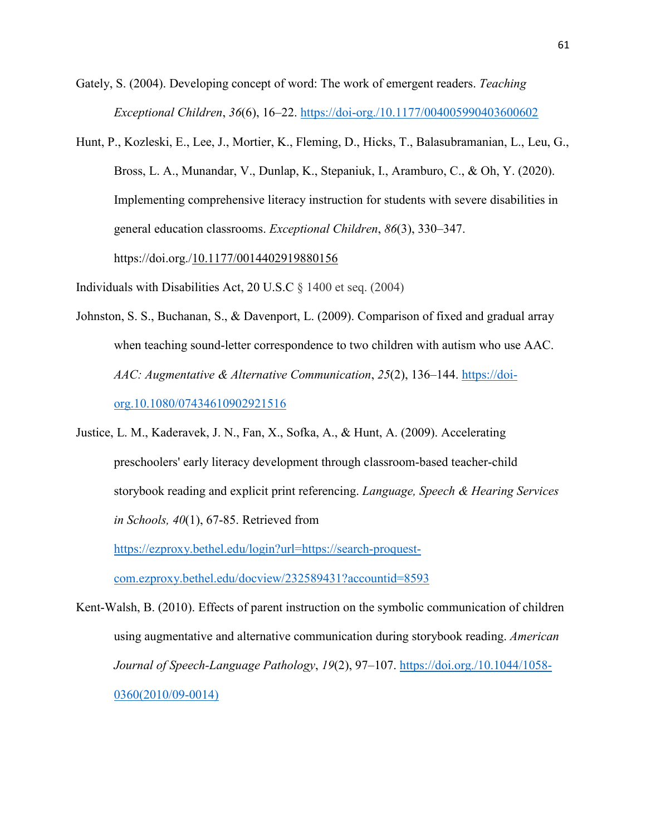- Gately, S. (2004). Developing concept of word: The work of emergent readers. *Teaching Exceptional Children*, *36*(6), 16–22.<https://doi-org./10.1177/004005990403600602>
- Hunt, P., Kozleski, E., Lee, J., Mortier, K., Fleming, D., Hicks, T., Balasubramanian, L., Leu, G., Bross, L. A., Munandar, V., Dunlap, K., Stepaniuk, I., Aramburo, C., & Oh, Y. (2020). Implementing comprehensive literacy instruction for students with severe disabilities in general education classrooms. *Exceptional Children*, *86*(3), 330–347. https://doi.org.[/10.1177/0014402919880156](https://doi-org.ezproxy.bethel.edu/10.1177/0014402919880156)

Individuals with Disabilities Act, 20 U.S.C § 1400 et seq. (2004)

- Johnston, S. S., Buchanan, S., & Davenport, L. (2009). Comparison of fixed and gradual array when teaching sound-letter correspondence to two children with autism who use AAC. *AAC: Augmentative & Alternative Communication*, *25*(2), 136–144. https://doi org.10.1080/07434610902921516
- Justice, L. M., Kaderavek, J. N., Fan, X., Sofka, A., & Hunt, A. (2009). Accelerating preschoolers' early literacy development through classroom-based teacher-child storybook reading and explicit print referencing. *Language, Speech & Hearing Services in Schools, 40*(1), 67-85. Retrieved from

[https://ezproxy.bethel.edu/login?url=https://search-proquest](https://ezproxy.bethel.edu/login?url=https://search-proquest-%09com.ezproxy.bethel.edu/docview/232589431?accountid=8593)  [com.ezproxy.bethel.edu/docview/232589431?accountid=8593](https://ezproxy.bethel.edu/login?url=https://search-proquest-%09com.ezproxy.bethel.edu/docview/232589431?accountid=8593)

Kent-Walsh, B. (2010). Effects of parent instruction on the symbolic communication of children using augmentative and alternative communication during storybook reading. *American Journal of Speech-Language Pathology*, *19*(2), 97–107. [https://doi.org./10.1044/1058-](https://doi.org./10.1044/1058-%090360(2010/09-0014))  [0360\(2010/09-0014\)](https://doi.org./10.1044/1058-%090360(2010/09-0014))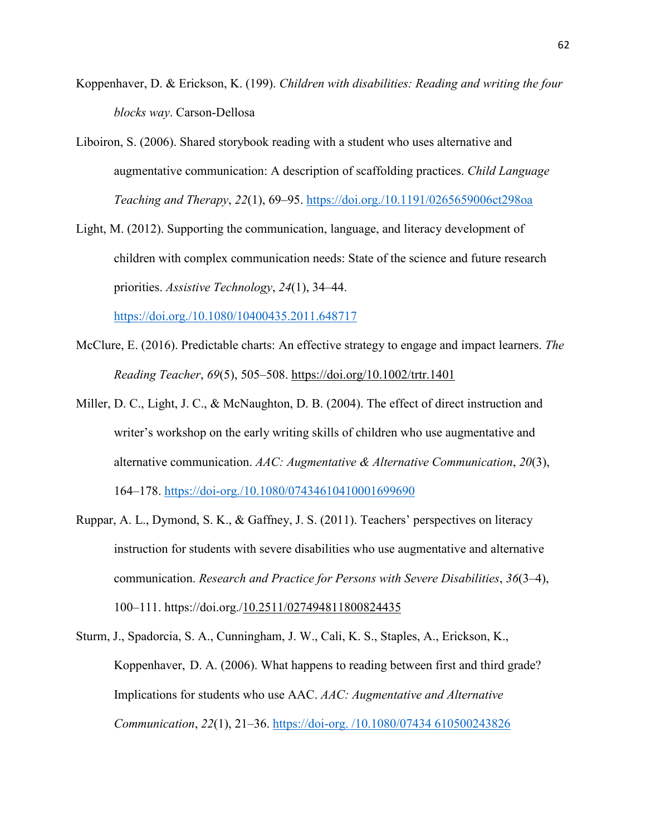- Koppenhaver, D. & Erickson, K. (199). *Children with disabilities: Reading and writing the four blocks way*. Carson-Dellosa
- Liboiron, S. (2006). Shared storybook reading with a student who uses alternative and augmentative communication: A description of scaffolding practices. *Child Language Teaching and Therapy*, *22*(1), 69–95.<https://doi.org./10.1191/0265659006ct298oa>
- Light, M. (2012). Supporting the communication, language, and literacy development of children with complex communication needs: State of the science and future research priorities. *Assistive Technology*, *24*(1), 34–44.

<https://doi.org./10.1080/10400435.2011.648717>

- McClure, E. (2016). Predictable charts: An effective strategy to engage and impact learners. *The Reading Teacher*, *69*(5), 505–508.<https://doi.org/10.1002/trtr.1401>
- Miller, D. C., Light, J. C., & McNaughton, D. B. (2004). The effect of direct instruction and writer's workshop on the early writing skills of children who use augmentative and alternative communication. *AAC: Augmentative & Alternative Communication*, *20*(3), 164–178.<https://doi-org./10.1080/07434610410001699690>
- Ruppar, A. L., Dymond, S. K., & Gaffney, J. S. (2011). Teachers' perspectives on literacy instruction for students with severe disabilities who use augmentative and alternative communication. *Research and Practice for Persons with Severe Disabilities*, *36*(3–4), 100–111. https://doi.org.[/10.2511/027494811800824435](https://doi-org.ezproxy.bethel.edu/10.2511/027494811800824435)
- Sturm, J., Spadorcia, S. A., Cunningham, J. W., Cali, K. S., Staples, A., Erickson, K., Koppenhaver, D. A. (2006). What happens to reading between first and third grade? Implications for students who use AAC. *AAC: Augmentative and Alternative Communication*, *22*(1), 21–36. https://doi-org. /10.1080/07434 610500243826